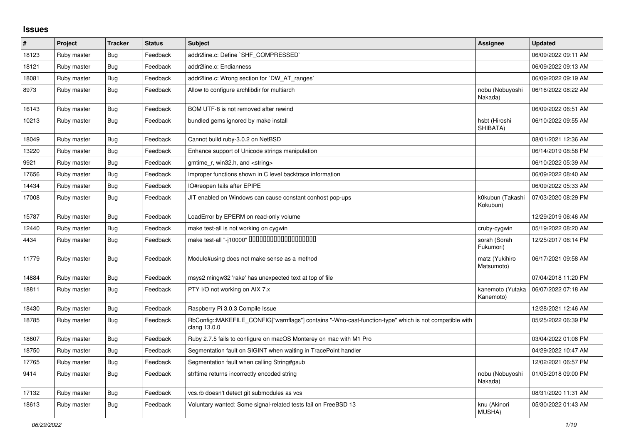## **Issues**

| #     | Project     | <b>Tracker</b> | <b>Status</b> | <b>Subject</b>                                                                                                         | Assignee                      | <b>Updated</b>      |
|-------|-------------|----------------|---------------|------------------------------------------------------------------------------------------------------------------------|-------------------------------|---------------------|
| 18123 | Ruby master | <b>Bug</b>     | Feedback      | addr2line.c: Define `SHF COMPRESSED`                                                                                   |                               | 06/09/2022 09:11 AM |
| 18121 | Ruby master | Bug            | Feedback      | addr2line.c: Endianness                                                                                                |                               | 06/09/2022 09:13 AM |
| 18081 | Ruby master | <b>Bug</b>     | Feedback      | addr2line.c: Wrong section for `DW_AT_ranges`                                                                          |                               | 06/09/2022 09:19 AM |
| 8973  | Ruby master | <b>Bug</b>     | Feedback      | Allow to configure archlibdir for multiarch                                                                            | nobu (Nobuyoshi<br>Nakada)    | 06/16/2022 08:22 AM |
| 16143 | Ruby master | <b>Bug</b>     | Feedback      | BOM UTF-8 is not removed after rewind                                                                                  |                               | 06/09/2022 06:51 AM |
| 10213 | Ruby master | <b>Bug</b>     | Feedback      | bundled gems ignored by make install                                                                                   | hsbt (Hiroshi<br>SHIBATA)     | 06/10/2022 09:55 AM |
| 18049 | Ruby master | <b>Bug</b>     | Feedback      | Cannot build ruby-3.0.2 on NetBSD                                                                                      |                               | 08/01/2021 12:36 AM |
| 13220 | Ruby master | <b>Bug</b>     | Feedback      | Enhance support of Unicode strings manipulation                                                                        |                               | 06/14/2019 08:58 PM |
| 9921  | Ruby master | <b>Bug</b>     | Feedback      | gmtime_r, win32.h, and <string></string>                                                                               |                               | 06/10/2022 05:39 AM |
| 17656 | Ruby master | <b>Bug</b>     | Feedback      | Improper functions shown in C level backtrace information                                                              |                               | 06/09/2022 08:40 AM |
| 14434 | Ruby master | <b>Bug</b>     | Feedback      | IO#reopen fails after EPIPE                                                                                            |                               | 06/09/2022 05:33 AM |
| 17008 | Ruby master | <b>Bug</b>     | Feedback      | JIT enabled on Windows can cause constant conhost pop-ups                                                              | k0kubun (Takashi<br>Kokubun)  | 07/03/2020 08:29 PM |
| 15787 | Ruby master | <b>Bug</b>     | Feedback      | LoadError by EPERM on read-only volume                                                                                 |                               | 12/29/2019 06:46 AM |
| 12440 | Ruby master | <b>Bug</b>     | Feedback      | make test-all is not working on cygwin                                                                                 | cruby-cygwin                  | 05/19/2022 08:20 AM |
| 4434  | Ruby master | <b>Bug</b>     | Feedback      | make test-all "-j10000" 0000000000000000000                                                                            | sorah (Sorah<br>Fukumori)     | 12/25/2017 06:14 PM |
| 11779 | Ruby master | Bug            | Feedback      | Module#using does not make sense as a method                                                                           | matz (Yukihiro<br>Matsumoto)  | 06/17/2021 09:58 AM |
| 14884 | Ruby master | <b>Bug</b>     | Feedback      | msys2 mingw32 'rake' has unexpected text at top of file                                                                |                               | 07/04/2018 11:20 PM |
| 18811 | Ruby master | Bug            | Feedback      | PTY I/O not working on AIX 7.x                                                                                         | kanemoto (Yutaka<br>Kanemoto) | 06/07/2022 07:18 AM |
| 18430 | Ruby master | <b>Bug</b>     | Feedback      | Raspberry Pi 3.0.3 Compile Issue                                                                                       |                               | 12/28/2021 12:46 AM |
| 18785 | Ruby master | <b>Bug</b>     | Feedback      | RbConfig::MAKEFILE_CONFIG["warnflags"] contains "-Wno-cast-function-type" which is not compatible with<br>clang 13.0.0 |                               | 05/25/2022 06:39 PM |
| 18607 | Ruby master | <b>Bug</b>     | Feedback      | Ruby 2.7.5 fails to configure on macOS Monterey on mac with M1 Pro                                                     |                               | 03/04/2022 01:08 PM |
| 18750 | Ruby master | <b>Bug</b>     | Feedback      | Segmentation fault on SIGINT when waiting in TracePoint handler                                                        |                               | 04/29/2022 10:47 AM |
| 17765 | Ruby master | <b>Bug</b>     | Feedback      | Segmentation fault when calling String#gsub                                                                            |                               | 12/02/2021 06:57 PM |
| 9414  | Ruby master | <b>Bug</b>     | Feedback      | strftime returns incorrectly encoded string                                                                            | nobu (Nobuyoshi<br>Nakada)    | 01/05/2018 09:00 PM |
| 17132 | Ruby master | Bug            | Feedback      | vcs.rb doesn't detect git submodules as vcs                                                                            |                               | 08/31/2020 11:31 AM |
| 18613 | Ruby master | <b>Bug</b>     | Feedback      | Voluntary wanted: Some signal-related tests fail on FreeBSD 13                                                         | knu (Akinori<br>MUSHA)        | 05/30/2022 01:43 AM |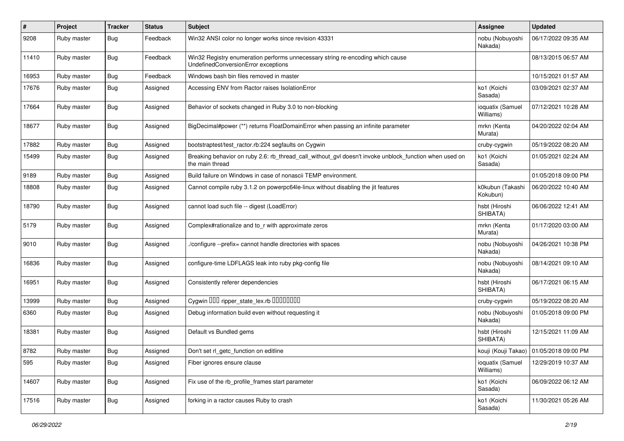| #     | Project     | <b>Tracker</b> | <b>Status</b> | <b>Subject</b>                                                                                                            | <b>Assignee</b>               | <b>Updated</b>                            |
|-------|-------------|----------------|---------------|---------------------------------------------------------------------------------------------------------------------------|-------------------------------|-------------------------------------------|
| 9208  | Ruby master | Bug            | Feedback      | Win32 ANSI color no longer works since revision 43331                                                                     | nobu (Nobuyoshi<br>Nakada)    | 06/17/2022 09:35 AM                       |
| 11410 | Ruby master | <b>Bug</b>     | Feedback      | Win32 Registry enumeration performs unnecessary string re-encoding which cause<br>UndefinedConversionError exceptions     |                               | 08/13/2015 06:57 AM                       |
| 16953 | Ruby master | Bug            | Feedback      | Windows bash bin files removed in master                                                                                  |                               | 10/15/2021 01:57 AM                       |
| 17676 | Ruby master | Bug            | Assigned      | Accessing ENV from Ractor raises IsolationError                                                                           | ko1 (Koichi<br>Sasada)        | 03/09/2021 02:37 AM                       |
| 17664 | Ruby master | Bug            | Assigned      | Behavior of sockets changed in Ruby 3.0 to non-blocking                                                                   | ioquatix (Samuel<br>Williams) | 07/12/2021 10:28 AM                       |
| 18677 | Ruby master | Bug            | Assigned      | BigDecimal#power (**) returns FloatDomainError when passing an infinite parameter                                         | mrkn (Kenta<br>Murata)        | 04/20/2022 02:04 AM                       |
| 17882 | Ruby master | <b>Bug</b>     | Assigned      | bootstraptest/test_ractor.rb:224 segfaults on Cygwin                                                                      | cruby-cygwin                  | 05/19/2022 08:20 AM                       |
| 15499 | Ruby master | <b>Bug</b>     | Assigned      | Breaking behavior on ruby 2.6: rb_thread_call_without_gvl doesn't invoke unblock_function when used on<br>the main thread | ko1 (Koichi<br>Sasada)        | 01/05/2021 02:24 AM                       |
| 9189  | Ruby master | <b>Bug</b>     | Assigned      | Build failure on Windows in case of nonascii TEMP environment.                                                            |                               | 01/05/2018 09:00 PM                       |
| 18808 | Ruby master | Bug            | Assigned      | Cannot compile ruby 3.1.2 on powerpc64le-linux without disabling the jit features                                         | k0kubun (Takashi<br>Kokubun)  | 06/20/2022 10:40 AM                       |
| 18790 | Ruby master | Bug            | Assigned      | cannot load such file -- digest (LoadError)                                                                               | hsbt (Hiroshi<br>SHIBATA)     | 06/06/2022 12:41 AM                       |
| 5179  | Ruby master | Bug            | Assigned      | Complex#rationalize and to_r with approximate zeros                                                                       | mrkn (Kenta<br>Murata)        | 01/17/2020 03:00 AM                       |
| 9010  | Ruby master | <b>Bug</b>     | Assigned      | ./configure --prefix= cannot handle directories with spaces                                                               | nobu (Nobuyoshi<br>Nakada)    | 04/26/2021 10:38 PM                       |
| 16836 | Ruby master | Bug            | Assigned      | configure-time LDFLAGS leak into ruby pkg-config file                                                                     | nobu (Nobuyoshi<br>Nakada)    | 08/14/2021 09:10 AM                       |
| 16951 | Ruby master | Bug            | Assigned      | Consistently referer dependencies                                                                                         | hsbt (Hiroshi<br>SHIBATA)     | 06/17/2021 06:15 AM                       |
| 13999 | Ruby master | <b>Bug</b>     | Assigned      | Cygwin DDD ripper_state_lex.rb DDDDDDDD                                                                                   | cruby-cygwin                  | 05/19/2022 08:20 AM                       |
| 6360  | Ruby master | <b>Bug</b>     | Assigned      | Debug information build even without requesting it                                                                        | nobu (Nobuyoshi<br>Nakada)    | 01/05/2018 09:00 PM                       |
| 18381 | Ruby master | Bug            | Assigned      | Default vs Bundled gems                                                                                                   | hsbt (Hiroshi<br>SHIBATA)     | 12/15/2021 11:09 AM                       |
| 8782  | Ruby master | Bug            | Assigned      | Don't set rl_getc_function on editline                                                                                    |                               | kouji (Kouji Takao)   01/05/2018 09:00 PM |
| 595   | Ruby master | Bug            | Assigned      | Fiber ignores ensure clause                                                                                               | ioquatix (Samuel<br>Williams) | 12/29/2019 10:37 AM                       |
| 14607 | Ruby master | <b>Bug</b>     | Assigned      | Fix use of the rb_profile_frames start parameter                                                                          | ko1 (Koichi<br>Sasada)        | 06/09/2022 06:12 AM                       |
| 17516 | Ruby master | <b>Bug</b>     | Assigned      | forking in a ractor causes Ruby to crash                                                                                  | ko1 (Koichi<br>Sasada)        | 11/30/2021 05:26 AM                       |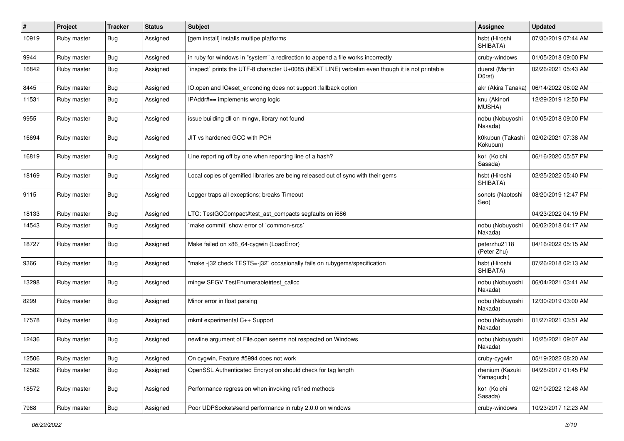| $\#$  | Project     | <b>Tracker</b> | <b>Status</b> | Subject                                                                                         | Assignee                      | <b>Updated</b>      |
|-------|-------------|----------------|---------------|-------------------------------------------------------------------------------------------------|-------------------------------|---------------------|
| 10919 | Ruby master | <b>Bug</b>     | Assigned      | [gem install] installs multipe platforms                                                        | hsbt (Hiroshi<br>SHIBATA)     | 07/30/2019 07:44 AM |
| 9944  | Ruby master | Bug            | Assigned      | in ruby for windows in "system" a redirection to append a file works incorrectly                | cruby-windows                 | 01/05/2018 09:00 PM |
| 16842 | Ruby master | <b>Bug</b>     | Assigned      | inspect` prints the UTF-8 character U+0085 (NEXT LINE) verbatim even though it is not printable | duerst (Martin<br>Dürst)      | 02/26/2021 05:43 AM |
| 8445  | Ruby master | <b>Bug</b>     | Assigned      | IO.open and IO#set_enconding does not support :fallback option                                  | akr (Akira Tanaka)            | 06/14/2022 06:02 AM |
| 11531 | Ruby master | <b>Bug</b>     | Assigned      | IPAddr#== implements wrong logic                                                                | knu (Akinori<br>MUSHA)        | 12/29/2019 12:50 PM |
| 9955  | Ruby master | <b>Bug</b>     | Assigned      | issue building dll on mingw, library not found                                                  | nobu (Nobuyoshi<br>Nakada)    | 01/05/2018 09:00 PM |
| 16694 | Ruby master | <b>Bug</b>     | Assigned      | JIT vs hardened GCC with PCH                                                                    | k0kubun (Takashi<br>Kokubun)  | 02/02/2021 07:38 AM |
| 16819 | Ruby master | <b>Bug</b>     | Assigned      | Line reporting off by one when reporting line of a hash?                                        | ko1 (Koichi<br>Sasada)        | 06/16/2020 05:57 PM |
| 18169 | Ruby master | <b>Bug</b>     | Assigned      | Local copies of gemified libraries are being released out of sync with their gems               | hsbt (Hiroshi<br>SHIBATA)     | 02/25/2022 05:40 PM |
| 9115  | Ruby master | <b>Bug</b>     | Assigned      | Logger traps all exceptions; breaks Timeout                                                     | sonots (Naotoshi<br>Seo)      | 08/20/2019 12:47 PM |
| 18133 | Ruby master | Bug            | Assigned      | LTO: TestGCCompact#test_ast_compacts segfaults on i686                                          |                               | 04/23/2022 04:19 PM |
| 14543 | Ruby master | <b>Bug</b>     | Assigned      | `make commit` show error of `common-srcs`                                                       | nobu (Nobuyoshi<br>Nakada)    | 06/02/2018 04:17 AM |
| 18727 | Ruby master | <b>Bug</b>     | Assigned      | Make failed on x86_64-cygwin (LoadError)                                                        | peterzhu2118<br>(Peter Zhu)   | 04/16/2022 05:15 AM |
| 9366  | Ruby master | <b>Bug</b>     | Assigned      | "make-j32 check TESTS=-j32" occasionally fails on rubygems/specification                        | hsbt (Hiroshi<br>SHIBATA)     | 07/26/2018 02:13 AM |
| 13298 | Ruby master | <b>Bug</b>     | Assigned      | mingw SEGV TestEnumerable#test_callcc                                                           | nobu (Nobuyoshi<br>Nakada)    | 06/04/2021 03:41 AM |
| 8299  | Ruby master | Bug            | Assigned      | Minor error in float parsing                                                                    | nobu (Nobuyoshi<br>Nakada)    | 12/30/2019 03:00 AM |
| 17578 | Ruby master | <b>Bug</b>     | Assigned      | mkmf experimental C++ Support                                                                   | nobu (Nobuyoshi<br>Nakada)    | 01/27/2021 03:51 AM |
| 12436 | Ruby master | <b>Bug</b>     | Assigned      | newline argument of File.open seems not respected on Windows                                    | nobu (Nobuyoshi<br>Nakada)    | 10/25/2021 09:07 AM |
| 12506 | Ruby master | <b>Bug</b>     | Assigned      | On cygwin, Feature #5994 does not work                                                          | cruby-cygwin                  | 05/19/2022 08:20 AM |
| 12582 | Ruby master | Bug            | Assigned      | OpenSSL Authenticated Encryption should check for tag length                                    | rhenium (Kazuki<br>Yamaguchi) | 04/28/2017 01:45 PM |
| 18572 | Ruby master | <b>Bug</b>     | Assigned      | Performance regression when invoking refined methods                                            | ko1 (Koichi<br>Sasada)        | 02/10/2022 12:48 AM |
| 7968  | Ruby master | <b>Bug</b>     | Assigned      | Poor UDPSocket#send performance in ruby 2.0.0 on windows                                        | cruby-windows                 | 10/23/2017 12:23 AM |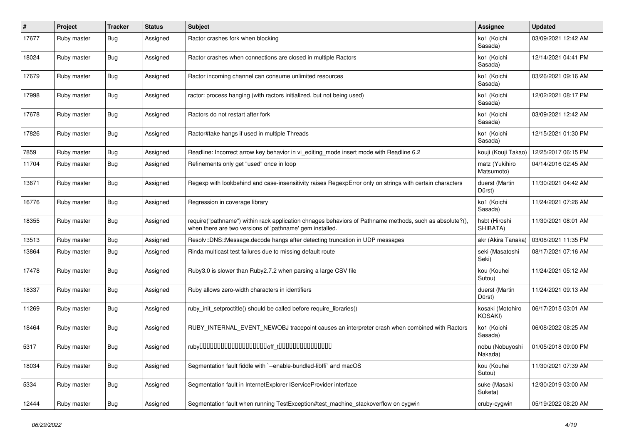| #     | Project     | <b>Tracker</b> | <b>Status</b> | <b>Subject</b>                                                                                                                                                      | Assignee                     | <b>Updated</b>      |
|-------|-------------|----------------|---------------|---------------------------------------------------------------------------------------------------------------------------------------------------------------------|------------------------------|---------------------|
| 17677 | Ruby master | Bug            | Assigned      | Ractor crashes fork when blocking                                                                                                                                   | ko1 (Koichi<br>Sasada)       | 03/09/2021 12:42 AM |
| 18024 | Ruby master | <b>Bug</b>     | Assigned      | Ractor crashes when connections are closed in multiple Ractors                                                                                                      | ko1 (Koichi<br>Sasada)       | 12/14/2021 04:41 PM |
| 17679 | Ruby master | Bug            | Assigned      | Ractor incoming channel can consume unlimited resources                                                                                                             | ko1 (Koichi<br>Sasada)       | 03/26/2021 09:16 AM |
| 17998 | Ruby master | Bug            | Assigned      | ractor: process hanging (with ractors initialized, but not being used)                                                                                              | ko1 (Koichi<br>Sasada)       | 12/02/2021 08:17 PM |
| 17678 | Ruby master | Bug            | Assigned      | Ractors do not restart after fork                                                                                                                                   | ko1 (Koichi<br>Sasada)       | 03/09/2021 12:42 AM |
| 17826 | Ruby master | Bug            | Assigned      | Ractor#take hangs if used in multiple Threads                                                                                                                       | ko1 (Koichi<br>Sasada)       | 12/15/2021 01:30 PM |
| 7859  | Ruby master | Bug            | Assigned      | Readline: Incorrect arrow key behavior in vi_editing_mode insert mode with Readline 6.2                                                                             | kouji (Kouji Takao)          | 12/25/2017 06:15 PM |
| 11704 | Ruby master | <b>Bug</b>     | Assigned      | Refinements only get "used" once in loop                                                                                                                            | matz (Yukihiro<br>Matsumoto) | 04/14/2016 02:45 AM |
| 13671 | Ruby master | Bug            | Assigned      | Regexp with lookbehind and case-insensitivity raises RegexpError only on strings with certain characters                                                            | duerst (Martin<br>Dürst)     | 11/30/2021 04:42 AM |
| 16776 | Ruby master | Bug            | Assigned      | Regression in coverage library                                                                                                                                      | ko1 (Koichi<br>Sasada)       | 11/24/2021 07:26 AM |
| 18355 | Ruby master | Bug            | Assigned      | require("pathname") within rack application chnages behaviors of Pathname methods, such as absolute?(),<br>when there are two versions of 'pathname' gem installed. | hsbt (Hiroshi<br>SHIBATA)    | 11/30/2021 08:01 AM |
| 13513 | Ruby master | Bug            | Assigned      | Resolv::DNS::Message.decode hangs after detecting truncation in UDP messages                                                                                        | akr (Akira Tanaka)           | 03/08/2021 11:35 PM |
| 13864 | Ruby master | <b>Bug</b>     | Assigned      | Rinda multicast test failures due to missing default route                                                                                                          | seki (Masatoshi<br>Seki)     | 08/17/2021 07:16 AM |
| 17478 | Ruby master | <b>Bug</b>     | Assigned      | Ruby3.0 is slower than Ruby2.7.2 when parsing a large CSV file                                                                                                      | kou (Kouhei<br>Sutou)        | 11/24/2021 05:12 AM |
| 18337 | Ruby master | Bug            | Assigned      | Ruby allows zero-width characters in identifiers                                                                                                                    | duerst (Martin<br>Dürst)     | 11/24/2021 09:13 AM |
| 11269 | Ruby master | Bug            | Assigned      | ruby_init_setproctitle() should be called before require_libraries()                                                                                                | kosaki (Motohiro<br>KOSAKI)  | 06/17/2015 03:01 AM |
| 18464 | Ruby master | <b>Bug</b>     | Assigned      | RUBY_INTERNAL_EVENT_NEWOBJ tracepoint causes an interpreter crash when combined with Ractors                                                                        | ko1 (Koichi<br>Sasada)       | 06/08/2022 08:25 AM |
| 5317  | Ruby master | Bug            | Assigned      |                                                                                                                                                                     | nobu (Nobuyoshi<br>Nakada)   | 01/05/2018 09:00 PM |
| 18034 | Ruby master | <b>Bug</b>     | Assigned      | Segmentation fault fiddle with `--enable-bundled-libffi` and macOS                                                                                                  | kou (Kouhei<br>Sutou)        | 11/30/2021 07:39 AM |
| 5334  | Ruby master | <b>Bug</b>     | Assigned      | Segmentation fault in InternetExplorer IServiceProvider interface                                                                                                   | suke (Masaki<br>Suketa)      | 12/30/2019 03:00 AM |
| 12444 | Ruby master | <b>Bug</b>     | Assigned      | Segmentation fault when running TestException#test_machine_stackoverflow on cygwin                                                                                  | cruby-cygwin                 | 05/19/2022 08:20 AM |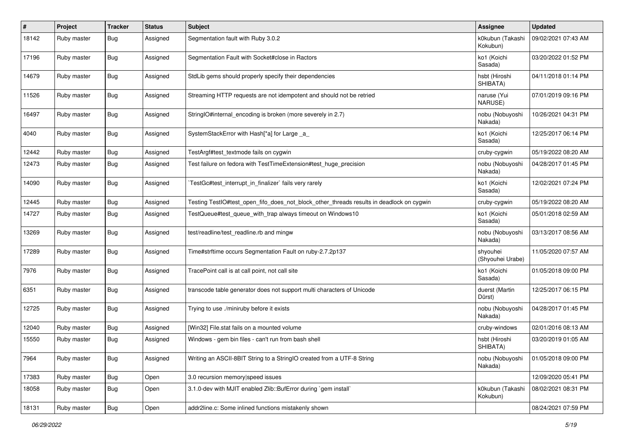| #     | Project     | <b>Tracker</b> | <b>Status</b> | Subject                                                                                  | <b>Assignee</b>              | <b>Updated</b>      |
|-------|-------------|----------------|---------------|------------------------------------------------------------------------------------------|------------------------------|---------------------|
| 18142 | Ruby master | <b>Bug</b>     | Assigned      | Segmentation fault with Ruby 3.0.2                                                       | k0kubun (Takashi<br>Kokubun) | 09/02/2021 07:43 AM |
| 17196 | Ruby master | <b>Bug</b>     | Assigned      | Segmentation Fault with Socket#close in Ractors                                          | ko1 (Koichi<br>Sasada)       | 03/20/2022 01:52 PM |
| 14679 | Ruby master | <b>Bug</b>     | Assigned      | StdLib gems should properly specify their dependencies                                   | hsbt (Hiroshi<br>SHIBATA)    | 04/11/2018 01:14 PM |
| 11526 | Ruby master | <b>Bug</b>     | Assigned      | Streaming HTTP requests are not idempotent and should not be retried                     | naruse (Yui<br>NARUSE)       | 07/01/2019 09:16 PM |
| 16497 | Ruby master | Bug            | Assigned      | StringIO#internal_encoding is broken (more severely in 2.7)                              | nobu (Nobuyoshi<br>Nakada)   | 10/26/2021 04:31 PM |
| 4040  | Ruby master | <b>Bug</b>     | Assigned      | SystemStackError with Hash[*a] for Large _a_                                             | ko1 (Koichi<br>Sasada)       | 12/25/2017 06:14 PM |
| 12442 | Ruby master | <b>Bug</b>     | Assigned      | TestArgf#test_textmode fails on cygwin                                                   | cruby-cygwin                 | 05/19/2022 08:20 AM |
| 12473 | Ruby master | <b>Bug</b>     | Assigned      | Test failure on fedora with TestTimeExtension#test_huge_precision                        | nobu (Nobuyoshi<br>Nakada)   | 04/28/2017 01:45 PM |
| 14090 | Ruby master | <b>Bug</b>     | Assigned      | TestGc#test_interrupt_in_finalizer`fails very rarely                                     | ko1 (Koichi<br>Sasada)       | 12/02/2021 07:24 PM |
| 12445 | Ruby master | Bug            | Assigned      | Testing TestIO#test_open_fifo_does_not_block_other_threads results in deadlock on cygwin | cruby-cygwin                 | 05/19/2022 08:20 AM |
| 14727 | Ruby master | Bug            | Assigned      | TestQueue#test_queue_with_trap always timeout on Windows10                               | ko1 (Koichi<br>Sasada)       | 05/01/2018 02:59 AM |
| 13269 | Ruby master | Bug            | Assigned      | test/readline/test_readline.rb and mingw                                                 | nobu (Nobuyoshi<br>Nakada)   | 03/13/2017 08:56 AM |
| 17289 | Ruby master | <b>Bug</b>     | Assigned      | Time#strftime occurs Segmentation Fault on ruby-2.7.2p137                                | shyouhei<br>(Shyouhei Urabe) | 11/05/2020 07:57 AM |
| 7976  | Ruby master | <b>Bug</b>     | Assigned      | TracePoint call is at call point, not call site                                          | ko1 (Koichi<br>Sasada)       | 01/05/2018 09:00 PM |
| 6351  | Ruby master | <b>Bug</b>     | Assigned      | transcode table generator does not support multi characters of Unicode                   | duerst (Martin<br>Dürst)     | 12/25/2017 06:15 PM |
| 12725 | Ruby master | <b>Bug</b>     | Assigned      | Trying to use ./miniruby before it exists                                                | nobu (Nobuyoshi<br>Nakada)   | 04/28/2017 01:45 PM |
| 12040 | Ruby master | <b>Bug</b>     | Assigned      | [Win32] File.stat fails on a mounted volume                                              | cruby-windows                | 02/01/2016 08:13 AM |
| 15550 | Ruby master | Bug            | Assigned      | Windows - gem bin files - can't run from bash shell                                      | hsbt (Hiroshi<br>SHIBATA)    | 03/20/2019 01:05 AM |
| 7964  | Ruby master | <b>Bug</b>     | Assigned      | Writing an ASCII-8BIT String to a StringIO created from a UTF-8 String                   | nobu (Nobuyoshi<br>Nakada)   | 01/05/2018 09:00 PM |
| 17383 | Ruby master | <b>Bug</b>     | Open          | 3.0 recursion memory speed issues                                                        |                              | 12/09/2020 05:41 PM |
| 18058 | Ruby master | <b>Bug</b>     | Open          | 3.1.0-dev with MJIT enabled Zlib::BufError during `gem install`                          | k0kubun (Takashi<br>Kokubun) | 08/02/2021 08:31 PM |
| 18131 | Ruby master | Bug            | Open          | addr2line.c: Some inlined functions mistakenly shown                                     |                              | 08/24/2021 07:59 PM |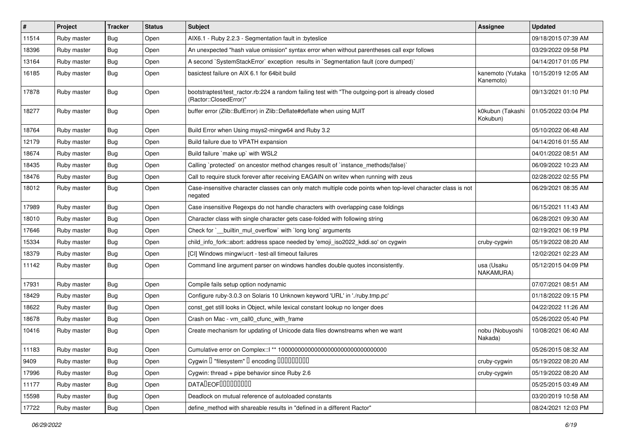| $\vert$ # | Project     | <b>Tracker</b> | <b>Status</b> | Subject                                                                                                                    | Assignee                      | <b>Updated</b>      |
|-----------|-------------|----------------|---------------|----------------------------------------------------------------------------------------------------------------------------|-------------------------------|---------------------|
| 11514     | Ruby master | Bug            | Open          | AIX6.1 - Ruby 2.2.3 - Segmentation fault in : byteslice                                                                    |                               | 09/18/2015 07:39 AM |
| 18396     | Ruby master | Bug            | Open          | An unexpected "hash value omission" syntax error when without parentheses call expr follows                                |                               | 03/29/2022 09:58 PM |
| 13164     | Ruby master | <b>Bug</b>     | Open          | A second `SystemStackError` exception results in `Segmentation fault (core dumped)`                                        |                               | 04/14/2017 01:05 PM |
| 16185     | Ruby master | Bug            | Open          | basictest failure on AIX 6.1 for 64bit build                                                                               | kanemoto (Yutaka<br>Kanemoto) | 10/15/2019 12:05 AM |
| 17878     | Ruby master | <b>Bug</b>     | Open          | bootstraptest/test_ractor.rb:224 a random failing test with "The outgoing-port is already closed<br>(Ractor::ClosedError)" |                               | 09/13/2021 01:10 PM |
| 18277     | Ruby master | Bug            | Open          | buffer error (Zlib::BufError) in Zlib::Deflate#deflate when using MJIT                                                     | k0kubun (Takashi<br>Kokubun)  | 01/05/2022 03:04 PM |
| 18764     | Ruby master | <b>Bug</b>     | Open          | Build Error when Using msys2-mingw64 and Ruby 3.2                                                                          |                               | 05/10/2022 06:48 AM |
| 12179     | Ruby master | <b>Bug</b>     | Open          | Build failure due to VPATH expansion                                                                                       |                               | 04/14/2016 01:55 AM |
| 18674     | Ruby master | <b>Bug</b>     | Open          | Build failure `make up` with WSL2                                                                                          |                               | 04/01/2022 08:51 AM |
| 18435     | Ruby master | <b>Bug</b>     | Open          | Calling `protected` on ancestor method changes result of `instance_methods(false)`                                         |                               | 06/09/2022 10:23 AM |
| 18476     | Ruby master | <b>Bug</b>     | Open          | Call to require stuck forever after receiving EAGAIN on writev when running with zeus                                      |                               | 02/28/2022 02:55 PM |
| 18012     | Ruby master | <b>Bug</b>     | Open          | Case-insensitive character classes can only match multiple code points when top-level character class is not<br>negated    |                               | 06/29/2021 08:35 AM |
| 17989     | Ruby master | Bug            | Open          | Case insensitive Regexps do not handle characters with overlapping case foldings                                           |                               | 06/15/2021 11:43 AM |
| 18010     | Ruby master | Bug            | Open          | Character class with single character gets case-folded with following string                                               |                               | 06/28/2021 09:30 AM |
| 17646     | Ruby master | <b>Bug</b>     | Open          | Check for ` builtin mul overflow with long long arguments                                                                  |                               | 02/19/2021 06:19 PM |
| 15334     | Ruby master | <b>Bug</b>     | Open          | child_info_fork::abort: address space needed by 'emoji_iso2022_kddi.so' on cygwin                                          | cruby-cygwin                  | 05/19/2022 08:20 AM |
| 18379     | Ruby master | <b>Bug</b>     | Open          | [CI] Windows mingw/ucrt - test-all timeout failures                                                                        |                               | 12/02/2021 02:23 AM |
| 11142     | Ruby master | Bug            | Open          | Command line argument parser on windows handles double quotes inconsistently.                                              | usa (Usaku<br>NAKAMURA)       | 05/12/2015 04:09 PM |
| 17931     | Ruby master | <b>Bug</b>     | Open          | Compile fails setup option nodynamic                                                                                       |                               | 07/07/2021 08:51 AM |
| 18429     | Ruby master | <b>Bug</b>     | Open          | Configure ruby-3.0.3 on Solaris 10 Unknown keyword 'URL' in './ruby.tmp.pc'                                                |                               | 01/18/2022 09:15 PM |
| 18622     | Ruby master | <b>Bug</b>     | Open          | const_get still looks in Object, while lexical constant lookup no longer does                                              |                               | 04/22/2022 11:26 AM |
| 18678     | Ruby master | <b>Bug</b>     | Open          | Crash on Mac - vm_call0_cfunc_with_frame                                                                                   |                               | 05/26/2022 05:40 PM |
| 10416     | Ruby master | Bug            | Open          | Create mechanism for updating of Unicode data files downstreams when we want                                               | nobu (Nobuyoshi<br>Nakada)    | 10/08/2021 06:40 AM |
| 11183     | Ruby master | Bug            | Open          |                                                                                                                            |                               | 05/26/2015 08:32 AM |
| 9409      | Ruby master | <b>Bug</b>     | Open          | Cygwin I "filesystem" I encoding IIIIIIIIIIII                                                                              | cruby-cygwin                  | 05/19/2022 08:20 AM |
| 17996     | Ruby master | <b>Bug</b>     | Open          | Cygwin: thread + pipe behavior since Ruby 2.6                                                                              | cruby-cygwin                  | 05/19/2022 08:20 AM |
| 11177     | Ruby master | <b>Bug</b>     | Open          | <b>DATADEOFOOOOOOOO</b>                                                                                                    |                               | 05/25/2015 03:49 AM |
| 15598     | Ruby master | <b>Bug</b>     | Open          | Deadlock on mutual reference of autoloaded constants                                                                       |                               | 03/20/2019 10:58 AM |
| 17722     | Ruby master | Bug            | Open          | define_method with shareable results in "defined in a different Ractor"                                                    |                               | 08/24/2021 12:03 PM |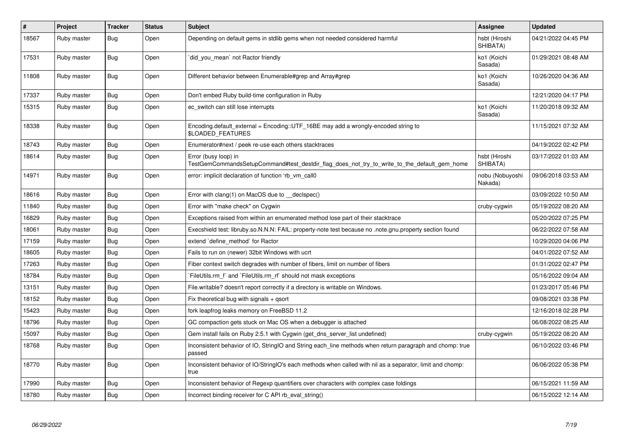| $\#$  | Project     | <b>Tracker</b> | <b>Status</b> | <b>Subject</b>                                                                                                      | Assignee                   | <b>Updated</b>      |
|-------|-------------|----------------|---------------|---------------------------------------------------------------------------------------------------------------------|----------------------------|---------------------|
| 18567 | Ruby master | Bug            | Open          | Depending on default gems in stdlib gems when not needed considered harmful                                         | hsbt (Hiroshi<br>SHIBATA)  | 04/21/2022 04:45 PM |
| 17531 | Ruby master | Bug            | Open          | did you mean' not Ractor friendly                                                                                   | ko1 (Koichi<br>Sasada)     | 01/29/2021 08:48 AM |
| 11808 | Ruby master | <b>Bug</b>     | Open          | Different behavior between Enumerable#grep and Array#grep                                                           | ko1 (Koichi<br>Sasada)     | 10/26/2020 04:36 AM |
| 17337 | Ruby master | <b>Bug</b>     | Open          | Don't embed Ruby build-time configuration in Ruby                                                                   |                            | 12/21/2020 04:17 PM |
| 15315 | Ruby master | <b>Bug</b>     | Open          | ec switch can still lose interrupts                                                                                 | ko1 (Koichi<br>Sasada)     | 11/20/2018 09:32 AM |
| 18338 | Ruby master | Bug            | Open          | Encoding default external = $Encoding::UTF 16BE$ may add a wrongly-encoded string to<br><b>\$LOADED FEATURES</b>    |                            | 11/15/2021 07:32 AM |
| 18743 | Ruby master | <b>Bug</b>     | Open          | Enumerator#next / peek re-use each others stacktraces                                                               |                            | 04/19/2022 02:42 PM |
| 18614 | Ruby master | Bug            | Open          | Error (busy loop) in<br>TestGemCommandsSetupCommand#test_destdir_flag_does_not_try_to_write_to_the_default_gem_home | hsbt (Hiroshi<br>SHIBATA)  | 03/17/2022 01:03 AM |
| 14971 | Ruby master | Bug            | Open          | error: implicit declaration of function 'rb vm call0                                                                | nobu (Nobuyoshi<br>Nakada) | 09/06/2018 03:53 AM |
| 18616 | Ruby master | <b>Bug</b>     | Open          | Error with clang(1) on MacOS due to declspec()                                                                      |                            | 03/09/2022 10:50 AM |
| 11840 | Ruby master | <b>Bug</b>     | Open          | Error with "make check" on Cygwin                                                                                   | cruby-cygwin               | 05/19/2022 08:20 AM |
| 16829 | Ruby master | <b>Bug</b>     | Open          | Exceptions raised from within an enumerated method lose part of their stacktrace                                    |                            | 05/20/2022 07:25 PM |
| 18061 | Ruby master | Bug            | Open          | Execshield test: libruby.so.N.N.N: FAIL: property-note test because no .note.gnu.property section found             |                            | 06/22/2022 07:58 AM |
| 17159 | Ruby master | <b>Bug</b>     | Open          | extend 'define method' for Ractor                                                                                   |                            | 10/29/2020 04:06 PM |
| 18605 | Ruby master | <b>Bug</b>     | Open          | Fails to run on (newer) 32bit Windows with ucrt                                                                     |                            | 04/01/2022 07:52 AM |
| 17263 | Ruby master | <b>Bug</b>     | Open          | Fiber context switch degrades with number of fibers, limit on number of fibers                                      |                            | 01/31/2022 02:47 PM |
| 18784 | Ruby master | <b>Bug</b>     | Open          | FileUtils.rm f and FileUtils.rm rf should not mask exceptions                                                       |                            | 05/16/2022 09:04 AM |
| 13151 | Ruby master | Bug            | Open          | File.writable? doesn't report correctly if a directory is writable on Windows.                                      |                            | 01/23/2017 05:46 PM |
| 18152 | Ruby master | <b>Bug</b>     | Open          | Fix theoretical bug with signals + qsort                                                                            |                            | 09/08/2021 03:38 PM |
| 15423 | Ruby master | <b>Bug</b>     | Open          | fork leapfrog leaks memory on FreeBSD 11.2                                                                          |                            | 12/16/2018 02:28 PM |
| 18796 | Ruby master | <b>Bug</b>     | Open          | GC compaction gets stuck on Mac OS when a debugger is attached                                                      |                            | 06/08/2022 08:25 AM |
| 15097 | Ruby master | <b>Bug</b>     | Open          | Gem install fails on Ruby 2.5.1 with Cygwin (get_dns_server_list undefined)                                         | cruby-cygwin               | 05/19/2022 08:20 AM |
| 18768 | Ruby master | Bug            | Open          | Inconsistent behavior of IO, StringIO and String each line methods when return paragraph and chomp: true<br>passed  |                            | 06/10/2022 03:46 PM |
| 18770 | Ruby master | Bug            | Open          | Inconsistent behavior of IO/StringIO's each methods when called with nil as a separator, limit and chomp:<br>true   |                            | 06/06/2022 05:38 PM |
| 17990 | Ruby master | Bug            | Open          | Inconsistent behavior of Regexp quantifiers over characters with complex case foldings                              |                            | 06/15/2021 11:59 AM |
| 18780 | Ruby master | Bug            | Open          | Incorrect binding receiver for C API rb eval string()                                                               |                            | 06/15/2022 12:14 AM |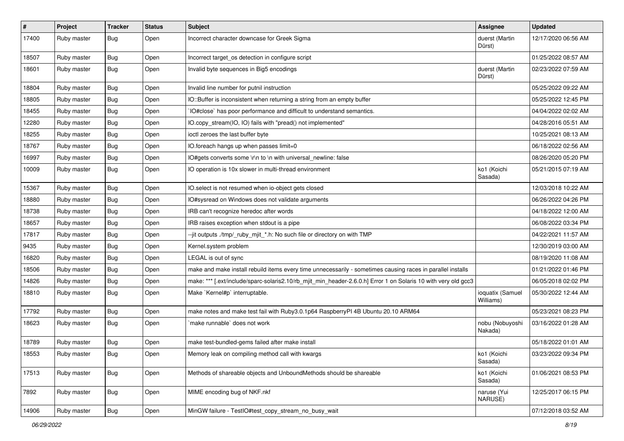| #     | Project     | <b>Tracker</b> | <b>Status</b> | Subject                                                                                                        | <b>Assignee</b>               | <b>Updated</b>      |
|-------|-------------|----------------|---------------|----------------------------------------------------------------------------------------------------------------|-------------------------------|---------------------|
| 17400 | Ruby master | Bug            | Open          | Incorrect character downcase for Greek Sigma                                                                   | duerst (Martin<br>Dürst)      | 12/17/2020 06:56 AM |
| 18507 | Ruby master | <b>Bug</b>     | Open          | Incorrect target_os detection in configure script                                                              |                               | 01/25/2022 08:57 AM |
| 18601 | Ruby master | Bug            | Open          | Invalid byte sequences in Big5 encodings                                                                       | duerst (Martin<br>Dürst)      | 02/23/2022 07:59 AM |
| 18804 | Ruby master | <b>Bug</b>     | Open          | Invalid line number for putnil instruction                                                                     |                               | 05/25/2022 09:22 AM |
| 18805 | Ruby master | <b>Bug</b>     | Open          | IO::Buffer is inconsistent when returning a string from an empty buffer                                        |                               | 05/25/2022 12:45 PM |
| 18455 | Ruby master | <b>Bug</b>     | Open          | IO#close` has poor performance and difficult to understand semantics.                                          |                               | 04/04/2022 02:02 AM |
| 12280 | Ruby master | Bug            | Open          | IO.copy_stream(IO, IO) fails with "pread() not implemented"                                                    |                               | 04/28/2016 05:51 AM |
| 18255 | Ruby master | Bug            | Open          | ioctl zeroes the last buffer byte                                                                              |                               | 10/25/2021 08:13 AM |
| 18767 | Ruby master | <b>Bug</b>     | Open          | IO.foreach hangs up when passes limit=0                                                                        |                               | 06/18/2022 02:56 AM |
| 16997 | Ruby master | Bug            | Open          | IO#gets converts some \r\n to \n with universal_newline: false                                                 |                               | 08/26/2020 05:20 PM |
| 10009 | Ruby master | Bug            | Open          | IO operation is 10x slower in multi-thread environment                                                         | ko1 (Koichi<br>Sasada)        | 05/21/2015 07:19 AM |
| 15367 | Ruby master | <b>Bug</b>     | Open          | IO.select is not resumed when io-object gets closed                                                            |                               | 12/03/2018 10:22 AM |
| 18880 | Ruby master | <b>Bug</b>     | Open          | IO#sysread on Windows does not validate arguments                                                              |                               | 06/26/2022 04:26 PM |
| 18738 | Ruby master | Bug            | Open          | IRB can't recognize heredoc after words                                                                        |                               | 04/18/2022 12:00 AM |
| 18657 | Ruby master | <b>Bug</b>     | Open          | IRB raises exception when stdout is a pipe                                                                     |                               | 06/08/2022 03:34 PM |
| 17817 | Ruby master | <b>Bug</b>     | Open          | --jit outputs ./tmp/_ruby_mjit_*.h: No such file or directory on with TMP                                      |                               | 04/22/2021 11:57 AM |
| 9435  | Ruby master | Bug            | Open          | Kernel.system problem                                                                                          |                               | 12/30/2019 03:00 AM |
| 16820 | Ruby master | Bug            | Open          | LEGAL is out of sync                                                                                           |                               | 08/19/2020 11:08 AM |
| 18506 | Ruby master | Bug            | Open          | make and make install rebuild items every time unnecessarily - sometimes causing races in parallel installs    |                               | 01/21/2022 01:46 PM |
| 14826 | Ruby master | <b>Bug</b>     | Open          | make: *** [.ext/include/sparc-solaris2.10/rb_mjit_min_header-2.6.0.h] Error 1 on Solaris 10 with very old gcc3 |                               | 06/05/2018 02:02 PM |
| 18810 | Ruby master | <b>Bug</b>     | Open          | Make `Kernel#p` interruptable.                                                                                 | ioquatix (Samuel<br>Williams) | 05/30/2022 12:44 AM |
| 17792 | Ruby master | <b>Bug</b>     | Open          | make notes and make test fail with Ruby3.0.1p64 RaspberryPI 4B Ubuntu 20.10 ARM64                              |                               | 05/23/2021 08:23 PM |
| 18623 | Ruby master | <b>Bug</b>     | Open          | `make runnable` does not work                                                                                  | nobu (Nobuyoshi<br>Nakada)    | 03/16/2022 01:28 AM |
| 18789 | Ruby master | <b>Bug</b>     | Open          | make test-bundled-gems failed after make install                                                               |                               | 05/18/2022 01:01 AM |
| 18553 | Ruby master | <b>Bug</b>     | Open          | Memory leak on compiling method call with kwargs                                                               | ko1 (Koichi<br>Sasada)        | 03/23/2022 09:34 PM |
| 17513 | Ruby master | <b>Bug</b>     | Open          | Methods of shareable objects and UnboundMethods should be shareable                                            | ko1 (Koichi<br>Sasada)        | 01/06/2021 08:53 PM |
| 7892  | Ruby master | Bug            | Open          | MIME encoding bug of NKF.nkf                                                                                   | naruse (Yui<br>NARUSE)        | 12/25/2017 06:15 PM |
| 14906 | Ruby master | Bug            | Open          | MinGW failure - TestIO#test_copy_stream_no_busy_wait                                                           |                               | 07/12/2018 03:52 AM |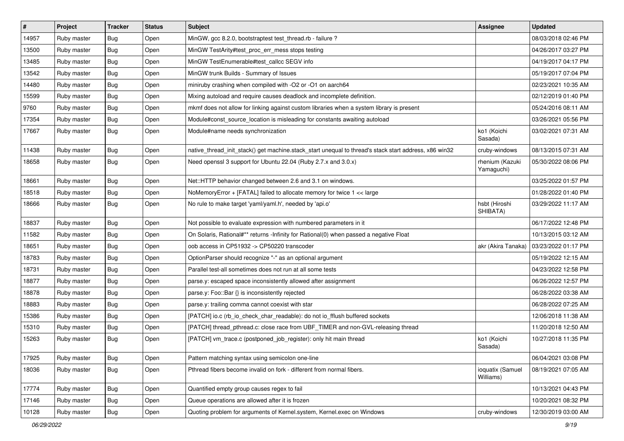| #     | Project     | <b>Tracker</b> | <b>Status</b> | Subject                                                                                               | Assignee                      | <b>Updated</b>      |
|-------|-------------|----------------|---------------|-------------------------------------------------------------------------------------------------------|-------------------------------|---------------------|
| 14957 | Ruby master | <b>Bug</b>     | Open          | MinGW, gcc 8.2.0, bootstraptest test_thread.rb - failure ?                                            |                               | 08/03/2018 02:46 PM |
| 13500 | Ruby master | <b>Bug</b>     | Open          | MinGW TestArity#test_proc_err_mess stops testing                                                      |                               | 04/26/2017 03:27 PM |
| 13485 | Ruby master | <b>Bug</b>     | Open          | MinGW TestEnumerable#test_callcc SEGV info                                                            |                               | 04/19/2017 04:17 PM |
| 13542 | Ruby master | <b>Bug</b>     | Open          | MinGW trunk Builds - Summary of Issues                                                                |                               | 05/19/2017 07:04 PM |
| 14480 | Ruby master | Bug            | Open          | miniruby crashing when compiled with -O2 or -O1 on aarch64                                            |                               | 02/23/2021 10:35 AM |
| 15599 | Ruby master | <b>Bug</b>     | Open          | Mixing autoload and require causes deadlock and incomplete definition.                                |                               | 02/12/2019 01:40 PM |
| 9760  | Ruby master | <b>Bug</b>     | Open          | mkmf does not allow for linking against custom libraries when a system library is present             |                               | 05/24/2016 08:11 AM |
| 17354 | Ruby master | <b>Bug</b>     | Open          | Module#const_source_location is misleading for constants awaiting autoload                            |                               | 03/26/2021 05:56 PM |
| 17667 | Ruby master | Bug            | Open          | Module#name needs synchronization                                                                     | ko1 (Koichi<br>Sasada)        | 03/02/2021 07:31 AM |
| 11438 | Ruby master | <b>Bug</b>     | Open          | native_thread_init_stack() get machine.stack_start unequal to thread's stack start address, x86 win32 | cruby-windows                 | 08/13/2015 07:31 AM |
| 18658 | Ruby master | Bug            | Open          | Need openssl 3 support for Ubuntu 22.04 (Ruby 2.7.x and 3.0.x)                                        | rhenium (Kazuki<br>Yamaguchi) | 05/30/2022 08:06 PM |
| 18661 | Ruby master | <b>Bug</b>     | Open          | Net::HTTP behavior changed between 2.6 and 3.1 on windows.                                            |                               | 03/25/2022 01:57 PM |
| 18518 | Ruby master | <b>Bug</b>     | Open          | NoMemoryError + [FATAL] failed to allocate memory for twice 1 << large                                |                               | 01/28/2022 01:40 PM |
| 18666 | Ruby master | Bug            | Open          | No rule to make target 'yaml/yaml.h', needed by 'api.o'                                               | hsbt (Hiroshi<br>SHIBATA)     | 03/29/2022 11:17 AM |
| 18837 | Ruby master | Bug            | Open          | Not possible to evaluate expression with numbered parameters in it                                    |                               | 06/17/2022 12:48 PM |
| 11582 | Ruby master | <b>Bug</b>     | Open          | On Solaris, Rational#** returns -Infinity for Rational(0) when passed a negative Float                |                               | 10/13/2015 03:12 AM |
| 18651 | Ruby master | <b>Bug</b>     | Open          | oob access in CP51932 -> CP50220 transcoder                                                           | akr (Akira Tanaka)            | 03/23/2022 01:17 PM |
| 18783 | Ruby master | Bug            | Open          | OptionParser should recognize "-" as an optional argument                                             |                               | 05/19/2022 12:15 AM |
| 18731 | Ruby master | <b>Bug</b>     | Open          | Parallel test-all sometimes does not run at all some tests                                            |                               | 04/23/2022 12:58 PM |
| 18877 | Ruby master | <b>Bug</b>     | Open          | parse.y: escaped space inconsistently allowed after assignment                                        |                               | 06/26/2022 12:57 PM |
| 18878 | Ruby master | <b>Bug</b>     | Open          | parse.y: Foo::Bar {} is inconsistently rejected                                                       |                               | 06/28/2022 03:38 AM |
| 18883 | Ruby master | <b>Bug</b>     | Open          | parse.y: trailing comma cannot coexist with star                                                      |                               | 06/28/2022 07:25 AM |
| 15386 | Ruby master | Bug            | Open          | [PATCH] io.c (rb_io_check_char_readable): do not io_fflush buffered sockets                           |                               | 12/06/2018 11:38 AM |
| 15310 | Ruby master | Bug            | Open          | [PATCH] thread_pthread.c: close race from UBF_TIMER and non-GVL-releasing thread                      |                               | 11/20/2018 12:50 AM |
| 15263 | Ruby master | Bug            | Open          | [PATCH] vm_trace.c (postponed_job_register): only hit main thread                                     | ko1 (Koichi<br>Sasada)        | 10/27/2018 11:35 PM |
| 17925 | Ruby master | Bug            | Open          | Pattern matching syntax using semicolon one-line                                                      |                               | 06/04/2021 03:08 PM |
| 18036 | Ruby master | <b>Bug</b>     | Open          | Pthread fibers become invalid on fork - different from normal fibers.                                 | ioquatix (Samuel<br>Williams) | 08/19/2021 07:05 AM |
| 17774 | Ruby master | <b>Bug</b>     | Open          | Quantified empty group causes regex to fail                                                           |                               | 10/13/2021 04:43 PM |
| 17146 | Ruby master | Bug            | Open          | Queue operations are allowed after it is frozen                                                       |                               | 10/20/2021 08:32 PM |
| 10128 | Ruby master | Bug            | Open          | Quoting problem for arguments of Kernel.system, Kernel.exec on Windows                                | cruby-windows                 | 12/30/2019 03:00 AM |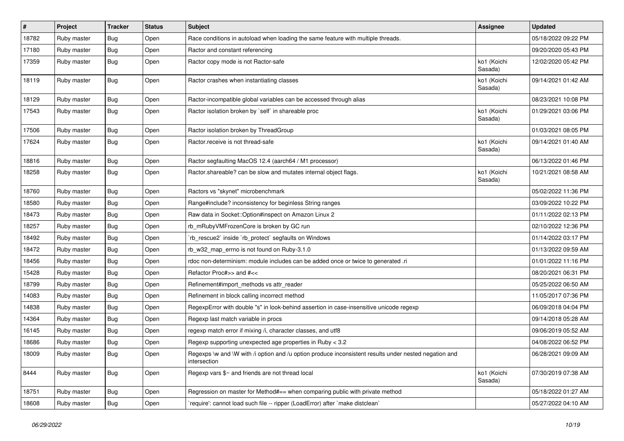| $\vert$ # | Project     | <b>Tracker</b> | <b>Status</b> | Subject                                                                                                               | Assignee               | <b>Updated</b>      |
|-----------|-------------|----------------|---------------|-----------------------------------------------------------------------------------------------------------------------|------------------------|---------------------|
| 18782     | Ruby master | Bug            | Open          | Race conditions in autoload when loading the same feature with multiple threads.                                      |                        | 05/18/2022 09:22 PM |
| 17180     | Ruby master | <b>Bug</b>     | Open          | Ractor and constant referencing                                                                                       |                        | 09/20/2020 05:43 PM |
| 17359     | Ruby master | Bug            | Open          | Ractor copy mode is not Ractor-safe                                                                                   | ko1 (Koichi<br>Sasada) | 12/02/2020 05:42 PM |
| 18119     | Ruby master | Bug            | Open          | Ractor crashes when instantiating classes                                                                             | ko1 (Koichi<br>Sasada) | 09/14/2021 01:42 AM |
| 18129     | Ruby master | <b>Bug</b>     | Open          | Ractor-incompatible global variables can be accessed through alias                                                    |                        | 08/23/2021 10:08 PM |
| 17543     | Ruby master | Bug            | Open          | Ractor isolation broken by `self` in shareable proc                                                                   | ko1 (Koichi<br>Sasada) | 01/29/2021 03:06 PM |
| 17506     | Ruby master | <b>Bug</b>     | Open          | Ractor isolation broken by ThreadGroup                                                                                |                        | 01/03/2021 08:05 PM |
| 17624     | Ruby master | Bug            | Open          | Ractor.receive is not thread-safe                                                                                     | ko1 (Koichi<br>Sasada) | 09/14/2021 01:40 AM |
| 18816     | Ruby master | Bug            | Open          | Ractor segfaulting MacOS 12.4 (aarch64 / M1 processor)                                                                |                        | 06/13/2022 01:46 PM |
| 18258     | Ruby master | Bug            | Open          | Ractor.shareable? can be slow and mutates internal object flags.                                                      | ko1 (Koichi<br>Sasada) | 10/21/2021 08:58 AM |
| 18760     | Ruby master | Bug            | Open          | Ractors vs "skynet" microbenchmark                                                                                    |                        | 05/02/2022 11:36 PM |
| 18580     | Ruby master | <b>Bug</b>     | Open          | Range#include? inconsistency for beginless String ranges                                                              |                        | 03/09/2022 10:22 PM |
| 18473     | Ruby master | <b>Bug</b>     | Open          | Raw data in Socket:: Option#inspect on Amazon Linux 2                                                                 |                        | 01/11/2022 02:13 PM |
| 18257     | Ruby master | Bug            | Open          | rb_mRubyVMFrozenCore is broken by GC run                                                                              |                        | 02/10/2022 12:36 PM |
| 18492     | Ruby master | Bug            | Open          | `rb_rescue2` inside `rb_protect` segfaults on Windows                                                                 |                        | 01/14/2022 03:17 PM |
| 18472     | Ruby master | Bug            | Open          | rb_w32_map_errno is not found on Ruby-3.1.0                                                                           |                        | 01/13/2022 09:59 AM |
| 18456     | Ruby master | <b>Bug</b>     | Open          | rdoc non-determinism: module includes can be added once or twice to generated .ri                                     |                        | 01/01/2022 11:16 PM |
| 15428     | Ruby master | Bug            | Open          | Refactor Proc#>> and #<<                                                                                              |                        | 08/20/2021 06:31 PM |
| 18799     | Ruby master | Bug            | Open          | Refinement#import_methods vs attr_reader                                                                              |                        | 05/25/2022 06:50 AM |
| 14083     | Ruby master | <b>Bug</b>     | Open          | Refinement in block calling incorrect method                                                                          |                        | 11/05/2017 07:36 PM |
| 14838     | Ruby master | Bug            | Open          | RegexpError with double "s" in look-behind assertion in case-insensitive unicode regexp                               |                        | 06/09/2018 04:04 PM |
| 14364     | Ruby master | <b>Bug</b>     | Open          | Regexp last match variable in procs                                                                                   |                        | 09/14/2018 05:28 AM |
| 16145     | Ruby master | Bug            | Open          | regexp match error if mixing /i, character classes, and utf8                                                          |                        | 09/06/2019 05:52 AM |
| 18686     | Ruby master | <b>Bug</b>     | Open          | Regexp supporting unexpected age properties in Ruby < 3.2                                                             |                        | 04/08/2022 06:52 PM |
| 18009     | Ruby master | Bug            | Open          | Regexps \w and \W with /i option and /u option produce inconsistent results under nested negation and<br>intersection |                        | 06/28/2021 09:09 AM |
| 8444      | Ruby master | <b>Bug</b>     | Open          | Regexp vars $\frac{6}{5}$ and friends are not thread local                                                            | ko1 (Koichi<br>Sasada) | 07/30/2019 07:38 AM |
| 18751     | Ruby master | <b>Bug</b>     | Open          | Regression on master for Method#== when comparing public with private method                                          |                        | 05/18/2022 01:27 AM |
| 18608     | Ruby master | <b>Bug</b>     | Open          | 'require': cannot load such file -- ripper (LoadError) after 'make distclean'                                         |                        | 05/27/2022 04:10 AM |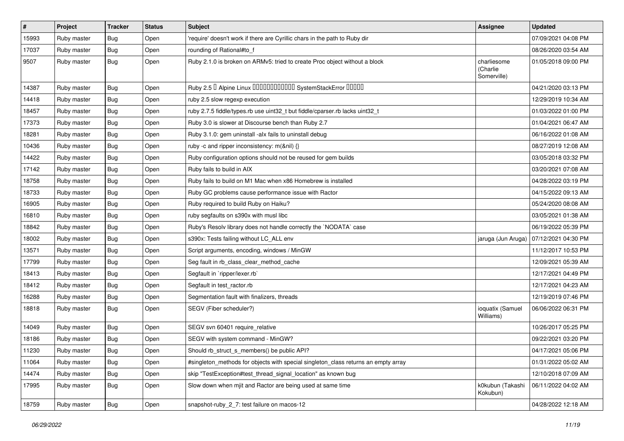| $\vert$ # | Project     | <b>Tracker</b> | <b>Status</b> | Subject                                                                            | Assignee                               | <b>Updated</b>      |
|-----------|-------------|----------------|---------------|------------------------------------------------------------------------------------|----------------------------------------|---------------------|
| 15993     | Ruby master | <b>Bug</b>     | Open          | 'require' doesn't work if there are Cyrillic chars in the path to Ruby dir         |                                        | 07/09/2021 04:08 PM |
| 17037     | Ruby master | Bug            | Open          | rounding of Rational#to_f                                                          |                                        | 08/26/2020 03:54 AM |
| 9507      | Ruby master | Bug            | Open          | Ruby 2.1.0 is broken on ARMv5: tried to create Proc object without a block         | charliesome<br>(Charlie<br>Somerville) | 01/05/2018 09:00 PM |
| 14387     | Ruby master | Bug            | Open          | Ruby 2.5 <sup>D</sup> Alpine Linux 000000000000 SystemStackError 00000             |                                        | 04/21/2020 03:13 PM |
| 14418     | Ruby master | Bug            | Open          | ruby 2.5 slow regexp execution                                                     |                                        | 12/29/2019 10:34 AM |
| 18457     | Ruby master | <b>Bug</b>     | Open          | ruby 2.7.5 fiddle/types.rb use uint32_t but fiddle/cparser.rb lacks uint32_t       |                                        | 01/03/2022 01:00 PM |
| 17373     | Ruby master | Bug            | Open          | Ruby 3.0 is slower at Discourse bench than Ruby 2.7                                |                                        | 01/04/2021 06:47 AM |
| 18281     | Ruby master | <b>Bug</b>     | Open          | Ruby 3.1.0: gem uninstall -alx fails to uninstall debug                            |                                        | 06/16/2022 01:08 AM |
| 10436     | Ruby master | <b>Bug</b>     | Open          | ruby -c and ripper inconsistency: m(&nil) {}                                       |                                        | 08/27/2019 12:08 AM |
| 14422     | Ruby master | Bug            | Open          | Ruby configuration options should not be reused for gem builds                     |                                        | 03/05/2018 03:32 PM |
| 17142     | Ruby master | <b>Bug</b>     | Open          | Ruby fails to build in AIX                                                         |                                        | 03/20/2021 07:08 AM |
| 18758     | Ruby master | <b>Bug</b>     | Open          | Ruby fails to build on M1 Mac when x86 Homebrew is installed                       |                                        | 04/28/2022 03:19 PM |
| 18733     | Ruby master | <b>Bug</b>     | Open          | Ruby GC problems cause performance issue with Ractor                               |                                        | 04/15/2022 09:13 AM |
| 16905     | Ruby master | <b>Bug</b>     | Open          | Ruby required to build Ruby on Haiku?                                              |                                        | 05/24/2020 08:08 AM |
| 16810     | Ruby master | Bug            | Open          | ruby segfaults on s390x with musl libc                                             |                                        | 03/05/2021 01:38 AM |
| 18842     | Ruby master | Bug            | Open          | Ruby's Resolv library does not handle correctly the `NODATA` case                  |                                        | 06/19/2022 05:39 PM |
| 18002     | Ruby master | Bug            | Open          | s390x: Tests failing without LC_ALL env                                            | jaruga (Jun Aruga)                     | 07/12/2021 04:30 PM |
| 13571     | Ruby master | <b>Bug</b>     | Open          | Script arguments, encoding, windows / MinGW                                        |                                        | 11/12/2017 10:53 PM |
| 17799     | Ruby master | <b>Bug</b>     | Open          | Seg fault in rb_class_clear_method_cache                                           |                                        | 12/09/2021 05:39 AM |
| 18413     | Ruby master | Bug            | Open          | Segfault in `ripper/lexer.rb`                                                      |                                        | 12/17/2021 04:49 PM |
| 18412     | Ruby master | <b>Bug</b>     | Open          | Segfault in test_ractor.rb                                                         |                                        | 12/17/2021 04:23 AM |
| 16288     | Ruby master | Bug            | Open          | Segmentation fault with finalizers, threads                                        |                                        | 12/19/2019 07:46 PM |
| 18818     | Ruby master | Bug            | Open          | SEGV (Fiber scheduler?)                                                            | ioquatix (Samuel<br>Williams)          | 06/06/2022 06:31 PM |
| 14049     | Ruby master | <b>Bug</b>     | Open          | SEGV svn 60401 require_relative                                                    |                                        | 10/26/2017 05:25 PM |
| 18186     | Ruby master | <b>Bug</b>     | Open          | SEGV with system command - MinGW?                                                  |                                        | 09/22/2021 03:20 PM |
| 11230     | Ruby master | Bug            | Open          | Should rb_struct_s_members() be public API?                                        |                                        | 04/17/2021 05:06 PM |
| 11064     | Ruby master | Bug            | Open          | #singleton_methods for objects with special singleton_class returns an empty array |                                        | 01/31/2022 05:02 AM |
| 14474     | Ruby master | <b>Bug</b>     | Open          | skip "TestException#test thread signal location" as known bug                      |                                        | 12/10/2018 07:09 AM |
| 17995     | Ruby master | <b>Bug</b>     | Open          | Slow down when mjit and Ractor are being used at same time                         | k0kubun (Takashi<br>Kokubun)           | 06/11/2022 04:02 AM |
| 18759     | Ruby master | <b>Bug</b>     | Open          | snapshot-ruby_2_7: test failure on macos-12                                        |                                        | 04/28/2022 12:18 AM |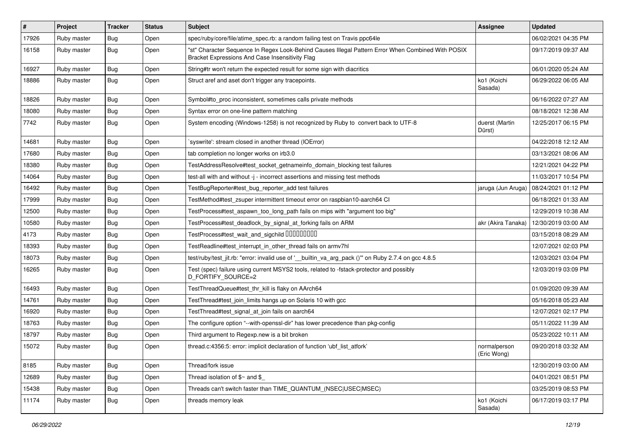| $\#$  | Project     | <b>Tracker</b> | <b>Status</b> | Subject                                                                                                                                               | Assignee                    | <b>Updated</b>                           |
|-------|-------------|----------------|---------------|-------------------------------------------------------------------------------------------------------------------------------------------------------|-----------------------------|------------------------------------------|
| 17926 | Ruby master | Bug            | Open          | spec/ruby/core/file/atime_spec.rb: a random failing test on Travis ppc64le                                                                            |                             | 06/02/2021 04:35 PM                      |
| 16158 | Ruby master | Bug            | Open          | "st" Character Sequence In Regex Look-Behind Causes Illegal Pattern Error When Combined With POSIX<br>Bracket Expressions And Case Insensitivity Flag |                             | 09/17/2019 09:37 AM                      |
| 16927 | Ruby master | <b>Bug</b>     | Open          | String#tr won't return the expected result for some sign with diacritics                                                                              |                             | 06/01/2020 05:24 AM                      |
| 18886 | Ruby master | Bug            | Open          | Struct aref and aset don't trigger any tracepoints.                                                                                                   | ko1 (Koichi<br>Sasada)      | 06/29/2022 06:05 AM                      |
| 18826 | Ruby master | Bug            | Open          | Symbol#to_proc inconsistent, sometimes calls private methods                                                                                          |                             | 06/16/2022 07:27 AM                      |
| 18080 | Ruby master | Bug            | Open          | Syntax error on one-line pattern matching                                                                                                             |                             | 08/18/2021 12:38 AM                      |
| 7742  | Ruby master | Bug            | Open          | System encoding (Windows-1258) is not recognized by Ruby to convert back to UTF-8                                                                     | duerst (Martin<br>Dürst)    | 12/25/2017 06:15 PM                      |
| 14681 | Ruby master | Bug            | Open          | `syswrite': stream closed in another thread (IOError)                                                                                                 |                             | 04/22/2018 12:12 AM                      |
| 17680 | Ruby master | <b>Bug</b>     | Open          | tab completion no longer works on irb3.0                                                                                                              |                             | 03/13/2021 08:06 AM                      |
| 18380 | Ruby master | <b>Bug</b>     | Open          | TestAddressResolve#test_socket_getnameinfo_domain_blocking test failures                                                                              |                             | 12/21/2021 04:22 PM                      |
| 14064 | Ruby master | <b>Bug</b>     | Open          | test-all with and without -j - incorrect assertions and missing test methods                                                                          |                             | 11/03/2017 10:54 PM                      |
| 16492 | Ruby master | <b>Bug</b>     | Open          | TestBugReporter#test_bug_reporter_add test failures                                                                                                   |                             | jaruga (Jun Aruga)   08/24/2021 01:12 PM |
| 17999 | Ruby master | <b>Bug</b>     | Open          | TestMethod#test_zsuper intermittent timeout error on raspbian10-aarch64 CI                                                                            |                             | 06/18/2021 01:33 AM                      |
| 12500 | Ruby master | <b>Bug</b>     | Open          | TestProcess#test_aspawn_too_long_path fails on mips with "argument too big"                                                                           |                             | 12/29/2019 10:38 AM                      |
| 10580 | Ruby master | Bug            | Open          | TestProcess#test_deadlock_by_signal_at_forking fails on ARM                                                                                           | akr (Akira Tanaka)          | 12/30/2019 03:00 AM                      |
| 4173  | Ruby master | <b>Bug</b>     | Open          | TestProcess#test_wait_and_sigchild DDDDDDDD                                                                                                           |                             | 03/15/2018 08:29 AM                      |
| 18393 | Ruby master | <b>Bug</b>     | Open          | TestReadline#test_interrupt_in_other_thread fails on armv7hl                                                                                          |                             | 12/07/2021 02:03 PM                      |
| 18073 | Ruby master | Bug            | Open          | test/ruby/test_jit.rb: "error: invalid use of '__builtin_va_arg_pack ()"' on Ruby 2.7.4 on gcc 4.8.5                                                  |                             | 12/03/2021 03:04 PM                      |
| 16265 | Ruby master | <b>Bug</b>     | Open          | Test (spec) failure using current MSYS2 tools, related to -fstack-protector and possibly<br>D_FORTIFY_SOURCE=2                                        |                             | 12/03/2019 03:09 PM                      |
| 16493 | Ruby master | Bug            | Open          | TestThreadQueue#test_thr_kill is flaky on AArch64                                                                                                     |                             | 01/09/2020 09:39 AM                      |
| 14761 | Ruby master | <b>Bug</b>     | Open          | TestThread#test_join_limits hangs up on Solaris 10 with gcc                                                                                           |                             | 05/16/2018 05:23 AM                      |
| 16920 | Ruby master | Bug            | Open          | TestThread#test_signal_at_join fails on aarch64                                                                                                       |                             | 12/07/2021 02:17 PM                      |
| 18763 | Ruby master | <b>Bug</b>     | Open          | The configure option "--with-openssl-dir" has lower precedence than pkg-config                                                                        |                             | 05/11/2022 11:39 AM                      |
| 18797 | Ruby master | <b>Bug</b>     | Open          | Third argument to Regexp.new is a bit broken                                                                                                          |                             | 05/23/2022 10:11 AM                      |
| 15072 | Ruby master | Bug            | Open          | thread.c:4356:5: error: implicit declaration of function 'ubf_list_atfork'                                                                            | normalperson<br>(Eric Wong) | 09/20/2018 03:32 AM                      |
| 8185  | Ruby master | <b>Bug</b>     | Open          | Thread/fork issue                                                                                                                                     |                             | 12/30/2019 03:00 AM                      |
| 12689 | Ruby master | <b>Bug</b>     | Open          | Thread isolation of $\gamma$ and $\gamma$                                                                                                             |                             | 04/01/2021 08:51 PM                      |
| 15438 | Ruby master | <b>Bug</b>     | Open          | Threads can't switch faster than TIME QUANTUM (NSEC USEC MSEC)                                                                                        |                             | 03/25/2019 08:53 PM                      |
| 11174 | Ruby master | Bug            | Open          | threads memory leak                                                                                                                                   | ko1 (Koichi<br>Sasada)      | 06/17/2019 03:17 PM                      |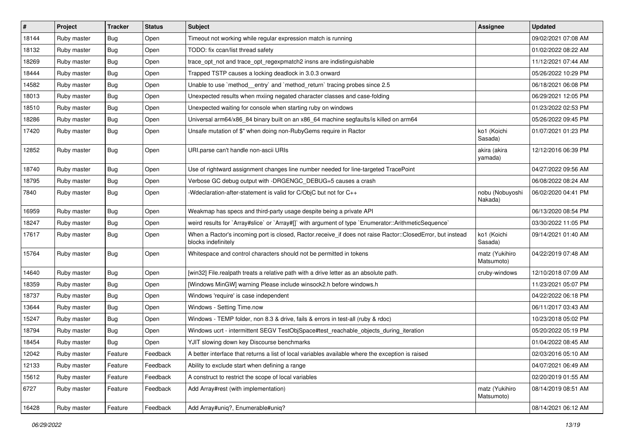| $\sharp$ | Project     | <b>Tracker</b> | <b>Status</b> | Subject                                                                                                                           | <b>Assignee</b>              | <b>Updated</b>      |
|----------|-------------|----------------|---------------|-----------------------------------------------------------------------------------------------------------------------------------|------------------------------|---------------------|
| 18144    | Ruby master | Bug            | Open          | Timeout not working while regular expression match is running                                                                     |                              | 09/02/2021 07:08 AM |
| 18132    | Ruby master | <b>Bug</b>     | Open          | TODO: fix ccan/list thread safety                                                                                                 |                              | 01/02/2022 08:22 AM |
| 18269    | Ruby master | <b>Bug</b>     | Open          | trace_opt_not and trace_opt_regexpmatch2 insns are indistinguishable                                                              |                              | 11/12/2021 07:44 AM |
| 18444    | Ruby master | Bug            | Open          | Trapped TSTP causes a locking deadlock in 3.0.3 onward                                                                            |                              | 05/26/2022 10:29 PM |
| 14582    | Ruby master | Bug            | Open          | Unable to use `method_entry` and `method_return` tracing probes since 2.5                                                         |                              | 06/18/2021 06:08 PM |
| 18013    | Ruby master | <b>Bug</b>     | Open          | Unexpected results when mxiing negated character classes and case-folding                                                         |                              | 06/29/2021 12:05 PM |
| 18510    | Ruby master | <b>Bug</b>     | Open          | Unexpected waiting for console when starting ruby on windows                                                                      |                              | 01/23/2022 02:53 PM |
| 18286    | Ruby master | <b>Bug</b>     | Open          | Universal arm64/x86_84 binary built on an x86_64 machine segfaults/is killed on arm64                                             |                              | 05/26/2022 09:45 PM |
| 17420    | Ruby master | Bug            | Open          | Unsafe mutation of \$" when doing non-RubyGems require in Ractor                                                                  | ko1 (Koichi<br>Sasada)       | 01/07/2021 01:23 PM |
| 12852    | Ruby master | Bug            | Open          | URI parse can't handle non-ascii URIs                                                                                             | akira (akira<br>yamada)      | 12/12/2016 06:39 PM |
| 18740    | Ruby master | Bug            | Open          | Use of rightward assignment changes line number needed for line-targeted TracePoint                                               |                              | 04/27/2022 09:56 AM |
| 18795    | Ruby master | <b>Bug</b>     | Open          | Verbose GC debug output with -DRGENGC_DEBUG=5 causes a crash                                                                      |                              | 06/08/2022 08:24 AM |
| 7840     | Ruby master | <b>Bug</b>     | Open          | -Wdeclaration-after-statement is valid for C/ObjC but not for C++                                                                 | nobu (Nobuyoshi<br>Nakada)   | 06/02/2020 04:41 PM |
| 16959    | Ruby master | <b>Bug</b>     | Open          | Weakmap has specs and third-party usage despite being a private API                                                               |                              | 06/13/2020 08:54 PM |
| 18247    | Ruby master | Bug            | Open          | weird results for `Array#slice` or `Array#[]` with argument of type `Enumerator::ArithmeticSequence`                              |                              | 03/30/2022 11:05 PM |
| 17617    | Ruby master | <b>Bug</b>     | Open          | When a Ractor's incoming port is closed, Ractor.receive_if does not raise Ractor::ClosedError, but instead<br>blocks indefinitely | ko1 (Koichi<br>Sasada)       | 09/14/2021 01:40 AM |
| 15764    | Ruby master | Bug            | Open          | Whitespace and control characters should not be permitted in tokens                                                               | matz (Yukihiro<br>Matsumoto) | 04/22/2019 07:48 AM |
| 14640    | Ruby master | <b>Bug</b>     | Open          | [win32] File.realpath treats a relative path with a drive letter as an absolute path.                                             | cruby-windows                | 12/10/2018 07:09 AM |
| 18359    | Ruby master | <b>Bug</b>     | Open          | [Windows MinGW] warning Please include winsock2.h before windows.h                                                                |                              | 11/23/2021 05:07 PM |
| 18737    | Ruby master | <b>Bug</b>     | Open          | Windows 'require' is case independent                                                                                             |                              | 04/22/2022 06:18 PM |
| 13644    | Ruby master | <b>Bug</b>     | Open          | Windows - Setting Time.now                                                                                                        |                              | 06/11/2017 03:43 AM |
| 15247    | Ruby master | <b>Bug</b>     | Open          | Windows - TEMP folder, non 8.3 & drive, fails & errors in test-all (ruby & rdoc)                                                  |                              | 10/23/2018 05:02 PM |
| 18794    | Ruby master | Bug            | Open          | Windows ucrt - intermittent SEGV TestObjSpace#test_reachable_objects_during_iteration                                             |                              | 05/20/2022 05:19 PM |
| 18454    | Ruby master | <b>Bug</b>     | Open          | YJIT slowing down key Discourse benchmarks                                                                                        |                              | 01/04/2022 08:45 AM |
| 12042    | Ruby master | Feature        | Feedback      | A better interface that returns a list of local variables available where the exception is raised                                 |                              | 02/03/2016 05:10 AM |
| 12133    | Ruby master | Feature        | Feedback      | Ability to exclude start when defining a range                                                                                    |                              | 04/07/2021 06:49 AM |
| 15612    | Ruby master | Feature        | Feedback      | A construct to restrict the scope of local variables                                                                              |                              | 02/20/2019 01:55 AM |
| 6727     | Ruby master | Feature        | Feedback      | Add Array#rest (with implementation)                                                                                              | matz (Yukihiro<br>Matsumoto) | 08/14/2019 08:51 AM |
| 16428    | Ruby master | Feature        | Feedback      | Add Array#uniq?, Enumerable#uniq?                                                                                                 |                              | 08/14/2021 06:12 AM |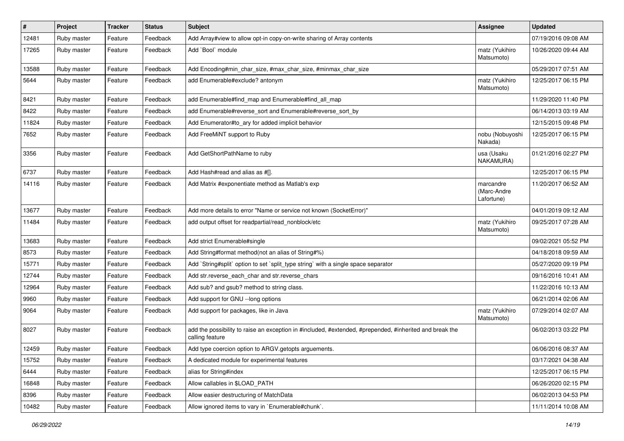| $\vert$ # | Project     | <b>Tracker</b> | <b>Status</b> | <b>Subject</b>                                                                                                             | <b>Assignee</b>                        | <b>Updated</b>      |
|-----------|-------------|----------------|---------------|----------------------------------------------------------------------------------------------------------------------------|----------------------------------------|---------------------|
| 12481     | Ruby master | Feature        | Feedback      | Add Array#view to allow opt-in copy-on-write sharing of Array contents                                                     |                                        | 07/19/2016 09:08 AM |
| 17265     | Ruby master | Feature        | Feedback      | Add `Bool` module                                                                                                          | matz (Yukihiro<br>Matsumoto)           | 10/26/2020 09:44 AM |
| 13588     | Ruby master | Feature        | Feedback      | Add Encoding#min_char_size, #max_char_size, #minmax_char_size                                                              |                                        | 05/29/2017 07:51 AM |
| 5644      | Ruby master | Feature        | Feedback      | add Enumerable#exclude? antonym                                                                                            | matz (Yukihiro<br>Matsumoto)           | 12/25/2017 06:15 PM |
| 8421      | Ruby master | Feature        | Feedback      | add Enumerable#find_map and Enumerable#find_all_map                                                                        |                                        | 11/29/2020 11:40 PM |
| 8422      | Ruby master | Feature        | Feedback      | add Enumerable#reverse sort and Enumerable#reverse sort by                                                                 |                                        | 06/14/2013 03:19 AM |
| 11824     | Ruby master | Feature        | Feedback      | Add Enumerator#to_ary for added implicit behavior                                                                          |                                        | 12/15/2015 09:48 PM |
| 7652      | Ruby master | Feature        | Feedback      | Add FreeMiNT support to Ruby                                                                                               | nobu (Nobuyoshi<br>Nakada)             | 12/25/2017 06:15 PM |
| 3356      | Ruby master | Feature        | Feedback      | Add GetShortPathName to ruby                                                                                               | usa (Usaku<br>NAKAMURA)                | 01/21/2016 02:27 PM |
| 6737      | Ruby master | Feature        | Feedback      | Add Hash#read and alias as #[].                                                                                            |                                        | 12/25/2017 06:15 PM |
| 14116     | Ruby master | Feature        | Feedback      | Add Matrix #exponentiate method as Matlab's exp                                                                            | marcandre<br>(Marc-Andre<br>Lafortune) | 11/20/2017 06:52 AM |
| 13677     | Ruby master | Feature        | Feedback      | Add more details to error "Name or service not known (SocketError)"                                                        |                                        | 04/01/2019 09:12 AM |
| 11484     | Ruby master | Feature        | Feedback      | add output offset for readpartial/read_nonblock/etc                                                                        | matz (Yukihiro<br>Matsumoto)           | 09/25/2017 07:28 AM |
| 13683     | Ruby master | Feature        | Feedback      | Add strict Enumerable#single                                                                                               |                                        | 09/02/2021 05:52 PM |
| 8573      | Ruby master | Feature        | Feedback      | Add String#format method(not an alias of String#%)                                                                         |                                        | 04/18/2018 09:59 AM |
| 15771     | Ruby master | Feature        | Feedback      | Add `String#split` option to set `split_type string` with a single space separator                                         |                                        | 05/27/2020 09:19 PM |
| 12744     | Ruby master | Feature        | Feedback      | Add str.reverse_each_char and str.reverse_chars                                                                            |                                        | 09/16/2016 10:41 AM |
| 12964     | Ruby master | Feature        | Feedback      | Add sub? and gsub? method to string class.                                                                                 |                                        | 11/22/2016 10:13 AM |
| 9960      | Ruby master | Feature        | Feedback      | Add support for GNU --long options                                                                                         |                                        | 06/21/2014 02:06 AM |
| 9064      | Ruby master | Feature        | Feedback      | Add support for packages, like in Java                                                                                     | matz (Yukihiro<br>Matsumoto)           | 07/29/2014 02:07 AM |
| 8027      | Ruby master | Feature        | Feedback      | add the possibility to raise an exception in #included, #extended, #prepended, #inherited and break the<br>calling feature |                                        | 06/02/2013 03:22 PM |
| 12459     | Ruby master | Feature        | Feedback      | Add type coercion option to ARGV getopts arguements.                                                                       |                                        | 06/06/2016 08:37 AM |
| 15752     | Ruby master | Feature        | Feedback      | A dedicated module for experimental features                                                                               |                                        | 03/17/2021 04:38 AM |
| 6444      | Ruby master | Feature        | Feedback      | alias for String#index                                                                                                     |                                        | 12/25/2017 06:15 PM |
| 16848     | Ruby master | Feature        | Feedback      | Allow callables in \$LOAD_PATH                                                                                             |                                        | 06/26/2020 02:15 PM |
| 8396      | Ruby master | Feature        | Feedback      | Allow easier destructuring of MatchData                                                                                    |                                        | 06/02/2013 04:53 PM |
| 10482     | Ruby master | Feature        | Feedback      | Allow ignored items to vary in `Enumerable#chunk`.                                                                         |                                        | 11/11/2014 10:08 AM |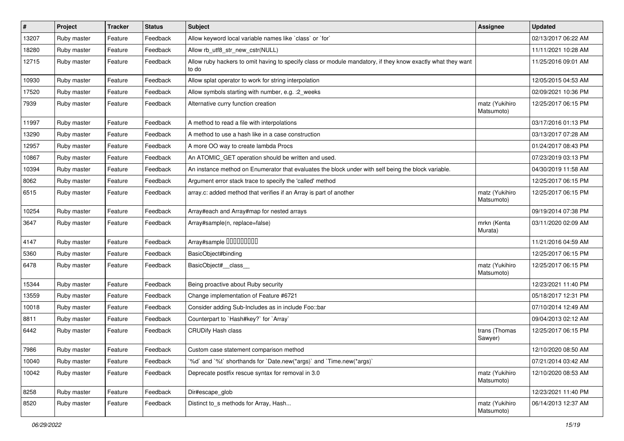| $\vert$ # | Project     | <b>Tracker</b> | <b>Status</b> | <b>Subject</b>                                                                                                       | Assignee                     | <b>Updated</b>      |
|-----------|-------------|----------------|---------------|----------------------------------------------------------------------------------------------------------------------|------------------------------|---------------------|
| 13207     | Ruby master | Feature        | Feedback      | Allow keyword local variable names like `class` or `for`                                                             |                              | 02/13/2017 06:22 AM |
| 18280     | Ruby master | Feature        | Feedback      | Allow rb_utf8_str_new_cstr(NULL)                                                                                     |                              | 11/11/2021 10:28 AM |
| 12715     | Ruby master | Feature        | Feedback      | Allow ruby hackers to omit having to specify class or module mandatory, if they know exactly what they want<br>to do |                              | 11/25/2016 09:01 AM |
| 10930     | Ruby master | Feature        | Feedback      | Allow splat operator to work for string interpolation                                                                |                              | 12/05/2015 04:53 AM |
| 17520     | Ruby master | Feature        | Feedback      | Allow symbols starting with number, e.g. : 2_weeks                                                                   |                              | 02/09/2021 10:36 PM |
| 7939      | Ruby master | Feature        | Feedback      | Alternative curry function creation                                                                                  | matz (Yukihiro<br>Matsumoto) | 12/25/2017 06:15 PM |
| 11997     | Ruby master | Feature        | Feedback      | A method to read a file with interpolations                                                                          |                              | 03/17/2016 01:13 PM |
| 13290     | Ruby master | Feature        | Feedback      | A method to use a hash like in a case construction                                                                   |                              | 03/13/2017 07:28 AM |
| 12957     | Ruby master | Feature        | Feedback      | A more OO way to create lambda Procs                                                                                 |                              | 01/24/2017 08:43 PM |
| 10867     | Ruby master | Feature        | Feedback      | An ATOMIC_GET operation should be written and used.                                                                  |                              | 07/23/2019 03:13 PM |
| 10394     | Ruby master | Feature        | Feedback      | An instance method on Enumerator that evaluates the block under with self being the block variable.                  |                              | 04/30/2019 11:58 AM |
| 8062      | Ruby master | Feature        | Feedback      | Argument error stack trace to specify the 'called' method                                                            |                              | 12/25/2017 06:15 PM |
| 6515      | Ruby master | Feature        | Feedback      | array.c: added method that verifies if an Array is part of another                                                   | matz (Yukihiro<br>Matsumoto) | 12/25/2017 06:15 PM |
| 10254     | Ruby master | Feature        | Feedback      | Array#each and Array#map for nested arrays                                                                           |                              | 09/19/2014 07:38 PM |
| 3647      | Ruby master | Feature        | Feedback      | Array#sample(n, replace=false)                                                                                       | mrkn (Kenta<br>Murata)       | 03/11/2020 02:09 AM |
| 4147      | Ruby master | Feature        | Feedback      | Array#sample 00000000                                                                                                |                              | 11/21/2016 04:59 AM |
| 5360      | Ruby master | Feature        | Feedback      | BasicObject#binding                                                                                                  |                              | 12/25/2017 06:15 PM |
| 6478      | Ruby master | Feature        | Feedback      | BasicObject#_class_                                                                                                  | matz (Yukihiro<br>Matsumoto) | 12/25/2017 06:15 PM |
| 15344     | Ruby master | Feature        | Feedback      | Being proactive about Ruby security                                                                                  |                              | 12/23/2021 11:40 PM |
| 13559     | Ruby master | Feature        | Feedback      | Change implementation of Feature #6721                                                                               |                              | 05/18/2017 12:31 PM |
| 10018     | Ruby master | Feature        | Feedback      | Consider adding Sub-Includes as in include Foo::bar                                                                  |                              | 07/10/2014 12:49 AM |
| 8811      | Ruby master | Feature        | Feedback      | Counterpart to `Hash#key?` for `Array`                                                                               |                              | 09/04/2013 02:12 AM |
| 6442      | Ruby master | Feature        | Feedback      | <b>CRUDify Hash class</b>                                                                                            | trans (Thomas<br>Sawyer)     | 12/25/2017 06:15 PM |
| 7986      | Ruby master | Feature        | Feedback      | Custom case statement comparison method                                                                              |                              | 12/10/2020 08:50 AM |
| 10040     | Ruby master | Feature        | Feedback      | '%d' and '%t' shorthands for 'Date.new(*args)' and 'Time.new(*args)'                                                 |                              | 07/21/2014 03:42 AM |
| 10042     | Ruby master | Feature        | Feedback      | Deprecate postfix rescue syntax for removal in 3.0                                                                   | matz (Yukihiro<br>Matsumoto) | 12/10/2020 08:53 AM |
| 8258      | Ruby master | Feature        | Feedback      | Dir#escape_glob                                                                                                      |                              | 12/23/2021 11:40 PM |
| 8520      | Ruby master | Feature        | Feedback      | Distinct to_s methods for Array, Hash                                                                                | matz (Yukihiro<br>Matsumoto) | 06/14/2013 12:37 AM |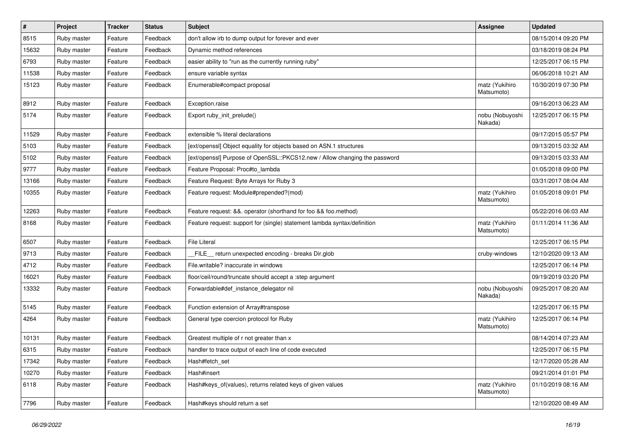| $\vert$ # | Project     | <b>Tracker</b> | <b>Status</b> | <b>Subject</b>                                                             | <b>Assignee</b>              | <b>Updated</b>      |
|-----------|-------------|----------------|---------------|----------------------------------------------------------------------------|------------------------------|---------------------|
| 8515      | Ruby master | Feature        | Feedback      | don't allow irb to dump output for forever and ever                        |                              | 08/15/2014 09:20 PM |
| 15632     | Ruby master | Feature        | Feedback      | Dynamic method references                                                  |                              | 03/18/2019 08:24 PM |
| 6793      | Ruby master | Feature        | Feedback      | easier ability to "run as the currently running ruby"                      |                              | 12/25/2017 06:15 PM |
| 11538     | Ruby master | Feature        | Feedback      | ensure variable syntax                                                     |                              | 06/06/2018 10:21 AM |
| 15123     | Ruby master | Feature        | Feedback      | Enumerable#compact proposal                                                | matz (Yukihiro<br>Matsumoto) | 10/30/2019 07:30 PM |
| 8912      | Ruby master | Feature        | Feedback      | Exception.raise                                                            |                              | 09/16/2013 06:23 AM |
| 5174      | Ruby master | Feature        | Feedback      | Export ruby_init_prelude()                                                 | nobu (Nobuyoshi<br>Nakada)   | 12/25/2017 06:15 PM |
| 11529     | Ruby master | Feature        | Feedback      | extensible % literal declarations                                          |                              | 09/17/2015 05:57 PM |
| 5103      | Ruby master | Feature        | Feedback      | [ext/openssl] Object equality for objects based on ASN.1 structures        |                              | 09/13/2015 03:32 AM |
| 5102      | Ruby master | Feature        | Feedback      | [ext/openssl] Purpose of OpenSSL::PKCS12.new / Allow changing the password |                              | 09/13/2015 03:33 AM |
| 9777      | Ruby master | Feature        | Feedback      | Feature Proposal: Proc#to lambda                                           |                              | 01/05/2018 09:00 PM |
| 13166     | Ruby master | Feature        | Feedback      | Feature Request: Byte Arrays for Ruby 3                                    |                              | 03/31/2017 08:04 AM |
| 10355     | Ruby master | Feature        | Feedback      | Feature request: Module#prepended?(mod)                                    | matz (Yukihiro<br>Matsumoto) | 01/05/2018 09:01 PM |
| 12263     | Ruby master | Feature        | Feedback      | Feature request: &&. operator (shorthand for foo && foo.method)            |                              | 05/22/2016 06:03 AM |
| 8168      | Ruby master | Feature        | Feedback      | Feature request: support for (single) statement lambda syntax/definition   | matz (Yukihiro<br>Matsumoto) | 01/11/2014 11:36 AM |
| 6507      | Ruby master | Feature        | Feedback      | <b>File Literal</b>                                                        |                              | 12/25/2017 06:15 PM |
| 9713      | Ruby master | Feature        | Feedback      | FILE return unexpected encoding - breaks Dir.glob                          | cruby-windows                | 12/10/2020 09:13 AM |
| 4712      | Ruby master | Feature        | Feedback      | File.writable? inaccurate in windows                                       |                              | 12/25/2017 06:14 PM |
| 16021     | Ruby master | Feature        | Feedback      | floor/ceil/round/truncate should accept a :step argument                   |                              | 09/19/2019 03:20 PM |
| 13332     | Ruby master | Feature        | Feedback      | Forwardable#def_instance_delegator nil                                     | nobu (Nobuyoshi<br>Nakada)   | 09/25/2017 08:20 AM |
| 5145      | Ruby master | Feature        | Feedback      | Function extension of Array#transpose                                      |                              | 12/25/2017 06:15 PM |
| 4264      | Ruby master | Feature        | Feedback      | General type coercion protocol for Ruby                                    | matz (Yukihiro<br>Matsumoto) | 12/25/2017 06:14 PM |
| 10131     | Ruby master | Feature        | Feedback      | Greatest multiple of r not greater than x                                  |                              | 08/14/2014 07:23 AM |
| 6315      | Ruby master | Feature        | Feedback      | handler to trace output of each line of code executed                      |                              | 12/25/2017 06:15 PM |
| 17342     | Ruby master | Feature        | Feedback      | Hash#fetch_set                                                             |                              | 12/17/2020 05:28 AM |
| 10270     | Ruby master | Feature        | Feedback      | Hash#insert                                                                |                              | 09/21/2014 01:01 PM |
| 6118      | Ruby master | Feature        | Feedback      | Hash#keys_of(values), returns related keys of given values                 | matz (Yukihiro<br>Matsumoto) | 01/10/2019 08:16 AM |
| 7796      | Ruby master | Feature        | Feedback      | Hash#keys should return a set                                              |                              | 12/10/2020 08:49 AM |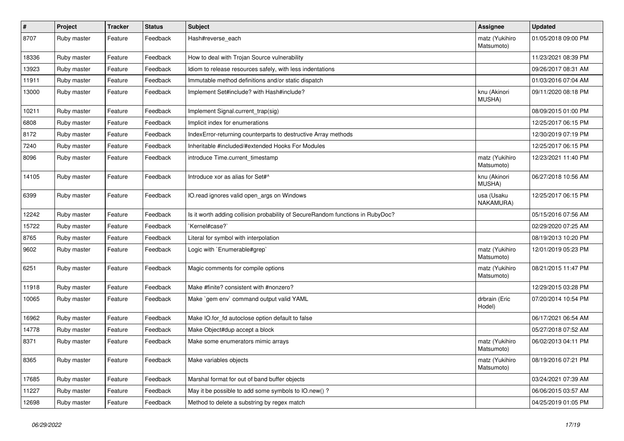| #     | Project     | <b>Tracker</b> | <b>Status</b> | <b>Subject</b>                                                                 | <b>Assignee</b>              | <b>Updated</b>      |
|-------|-------------|----------------|---------------|--------------------------------------------------------------------------------|------------------------------|---------------------|
| 8707  | Ruby master | Feature        | Feedback      | Hash#reverse_each                                                              | matz (Yukihiro<br>Matsumoto) | 01/05/2018 09:00 PM |
| 18336 | Ruby master | Feature        | Feedback      | How to deal with Trojan Source vulnerability                                   |                              | 11/23/2021 08:39 PM |
| 13923 | Ruby master | Feature        | Feedback      | Idiom to release resources safely, with less indentations                      |                              | 09/26/2017 08:31 AM |
| 11911 | Ruby master | Feature        | Feedback      | Immutable method definitions and/or static dispatch                            |                              | 01/03/2016 07:04 AM |
| 13000 | Ruby master | Feature        | Feedback      | Implement Set#include? with Hash#include?                                      | knu (Akinori<br>MUSHA)       | 09/11/2020 08:18 PM |
| 10211 | Ruby master | Feature        | Feedback      | Implement Signal.current trap(sig)                                             |                              | 08/09/2015 01:00 PM |
| 6808  | Ruby master | Feature        | Feedback      | Implicit index for enumerations                                                |                              | 12/25/2017 06:15 PM |
| 8172  | Ruby master | Feature        | Feedback      | IndexError-returning counterparts to destructive Array methods                 |                              | 12/30/2019 07:19 PM |
| 7240  | Ruby master | Feature        | Feedback      | Inheritable #included/#extended Hooks For Modules                              |                              | 12/25/2017 06:15 PM |
| 8096  | Ruby master | Feature        | Feedback      | introduce Time.current_timestamp                                               | matz (Yukihiro<br>Matsumoto) | 12/23/2021 11:40 PM |
| 14105 | Ruby master | Feature        | Feedback      | Introduce xor as alias for Set#^                                               | knu (Akinori<br>MUSHA)       | 06/27/2018 10:56 AM |
| 6399  | Ruby master | Feature        | Feedback      | IO.read ignores valid open_args on Windows                                     | usa (Usaku<br>NAKAMURA)      | 12/25/2017 06:15 PM |
| 12242 | Ruby master | Feature        | Feedback      | Is it worth adding collision probability of SecureRandom functions in RubyDoc? |                              | 05/15/2016 07:56 AM |
| 15722 | Ruby master | Feature        | Feedback      | `Kernel#case?`                                                                 |                              | 02/29/2020 07:25 AM |
| 8765  | Ruby master | Feature        | Feedback      | Literal for symbol with interpolation                                          |                              | 08/19/2013 10:20 PM |
| 9602  | Ruby master | Feature        | Feedback      | Logic with `Enumerable#grep`                                                   | matz (Yukihiro<br>Matsumoto) | 12/01/2019 05:23 PM |
| 6251  | Ruby master | Feature        | Feedback      | Magic comments for compile options                                             | matz (Yukihiro<br>Matsumoto) | 08/21/2015 11:47 PM |
| 11918 | Ruby master | Feature        | Feedback      | Make #finite? consistent with #nonzero?                                        |                              | 12/29/2015 03:28 PM |
| 10065 | Ruby master | Feature        | Feedback      | Make `gem env` command output valid YAML                                       | drbrain (Eric<br>Hodel)      | 07/20/2014 10:54 PM |
| 16962 | Ruby master | Feature        | Feedback      | Make IO.for_fd autoclose option default to false                               |                              | 06/17/2021 06:54 AM |
| 14778 | Ruby master | Feature        | Feedback      | Make Object#dup accept a block                                                 |                              | 05/27/2018 07:52 AM |
| 8371  | Ruby master | Feature        | Feedback      | Make some enumerators mimic arrays                                             | matz (Yukihiro<br>Matsumoto) | 06/02/2013 04:11 PM |
| 8365  | Ruby master | Feature        | Feedback      | Make variables objects                                                         | matz (Yukihiro<br>Matsumoto) | 08/19/2016 07:21 PM |
| 17685 | Ruby master | Feature        | Feedback      | Marshal format for out of band buffer objects                                  |                              | 03/24/2021 07:39 AM |
| 11227 | Ruby master | Feature        | Feedback      | May it be possible to add some symbols to IO.new()?                            |                              | 06/06/2015 03:57 AM |
| 12698 | Ruby master | Feature        | Feedback      | Method to delete a substring by regex match                                    |                              | 04/25/2019 01:05 PM |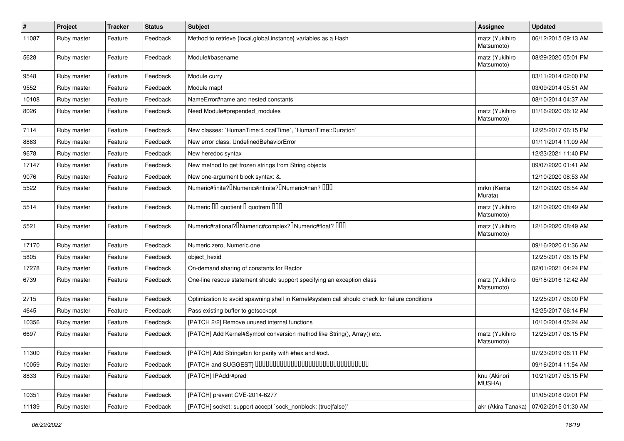| $\sharp$ | Project     | <b>Tracker</b> | <b>Status</b> | <b>Subject</b>                                                                                 | <b>Assignee</b>              | <b>Updated</b>      |
|----------|-------------|----------------|---------------|------------------------------------------------------------------------------------------------|------------------------------|---------------------|
| 11087    | Ruby master | Feature        | Feedback      | Method to retrieve {local, global, instance} variables as a Hash                               | matz (Yukihiro<br>Matsumoto) | 06/12/2015 09:13 AM |
| 5628     | Ruby master | Feature        | Feedback      | Module#basename                                                                                | matz (Yukihiro<br>Matsumoto) | 08/29/2020 05:01 PM |
| 9548     | Ruby master | Feature        | Feedback      | Module curry                                                                                   |                              | 03/11/2014 02:00 PM |
| 9552     | Ruby master | Feature        | Feedback      | Module map!                                                                                    |                              | 03/09/2014 05:51 AM |
| 10108    | Ruby master | Feature        | Feedback      | NameError#name and nested constants                                                            |                              | 08/10/2014 04:37 AM |
| 8026     | Ruby master | Feature        | Feedback      | Need Module#prepended_modules                                                                  | matz (Yukihiro<br>Matsumoto) | 01/16/2020 06:12 AM |
| 7114     | Ruby master | Feature        | Feedback      | New classes: `HumanTime::LocalTime`, `HumanTime::Duration`                                     |                              | 12/25/2017 06:15 PM |
| 8863     | Ruby master | Feature        | Feedback      | New error class: UndefinedBehaviorError                                                        |                              | 01/11/2014 11:09 AM |
| 9678     | Ruby master | Feature        | Feedback      | New heredoc syntax                                                                             |                              | 12/23/2021 11:40 PM |
| 17147    | Ruby master | Feature        | Feedback      | New method to get frozen strings from String objects                                           |                              | 09/07/2020 01:41 AM |
| 9076     | Ruby master | Feature        | Feedback      | New one-argument block syntax: &.                                                              |                              | 12/10/2020 08:53 AM |
| 5522     | Ruby master | Feature        | Feedback      | Numeric#finite? <sup>[]</sup> Numeric#infinite? <sup>[]</sup> Numeric#nan? <sup>[10]</sup>     | mrkn (Kenta<br>Murata)       | 12/10/2020 08:54 AM |
| 5514     | Ruby master | Feature        | Feedback      | Numeric OO quotient D quotrem OOD                                                              | matz (Yukihiro<br>Matsumoto) | 12/10/2020 08:49 AM |
| 5521     | Ruby master | Feature        | Feedback      | Numeric#rational? <sup>[]</sup> Numeric#complex? <sup>[]</sup> Numeric#float? <sup>[10]</sup>  | matz (Yukihiro<br>Matsumoto) | 12/10/2020 08:49 AM |
| 17170    | Ruby master | Feature        | Feedback      | Numeric.zero, Numeric.one                                                                      |                              | 09/16/2020 01:36 AM |
| 5805     | Ruby master | Feature        | Feedback      | object hexid                                                                                   |                              | 12/25/2017 06:15 PM |
| 17278    | Ruby master | Feature        | Feedback      | On-demand sharing of constants for Ractor                                                      |                              | 02/01/2021 04:24 PM |
| 6739     | Ruby master | Feature        | Feedback      | One-line rescue statement should support specifying an exception class                         | matz (Yukihiro<br>Matsumoto) | 05/18/2016 12:42 AM |
| 2715     | Ruby master | Feature        | Feedback      | Optimization to avoid spawning shell in Kernel#system call should check for failure conditions |                              | 12/25/2017 06:00 PM |
| 4645     | Ruby master | Feature        | Feedback      | Pass existing buffer to getsockopt                                                             |                              | 12/25/2017 06:14 PM |
| 10356    | Ruby master | Feature        | Feedback      | [PATCH 2/2] Remove unused internal functions                                                   |                              | 10/10/2014 05:24 AM |
| 6697     | Ruby master | Feature        | Feedback      | [PATCH] Add Kernel#Symbol conversion method like String(), Array() etc.                        | matz (Yukihiro<br>Matsumoto) | 12/25/2017 06:15 PM |
| 11300    | Ruby master | Feature        | Feedback      | [PATCH] Add String#bin for parity with #hex and #oct.                                          |                              | 07/23/2019 06:11 PM |
| 10059    | Ruby master | Feature        | Feedback      | [PATCH and SUGGEST] 0000000000000000000000000000000                                            |                              | 09/16/2014 11:54 AM |
| 8833     | Ruby master | Feature        | Feedback      | [PATCH] IPAddr#pred                                                                            | knu (Akinori<br>MUSHA)       | 10/21/2017 05:15 PM |
| 10351    | Ruby master | Feature        | Feedback      | [PATCH] prevent CVE-2014-6277                                                                  |                              | 01/05/2018 09:01 PM |
| 11139    | Ruby master | Feature        | Feedback      | [PATCH] socket: support accept `sock_nonblock: (true false)'                                   | akr (Akira Tanaka)           | 07/02/2015 01:30 AM |